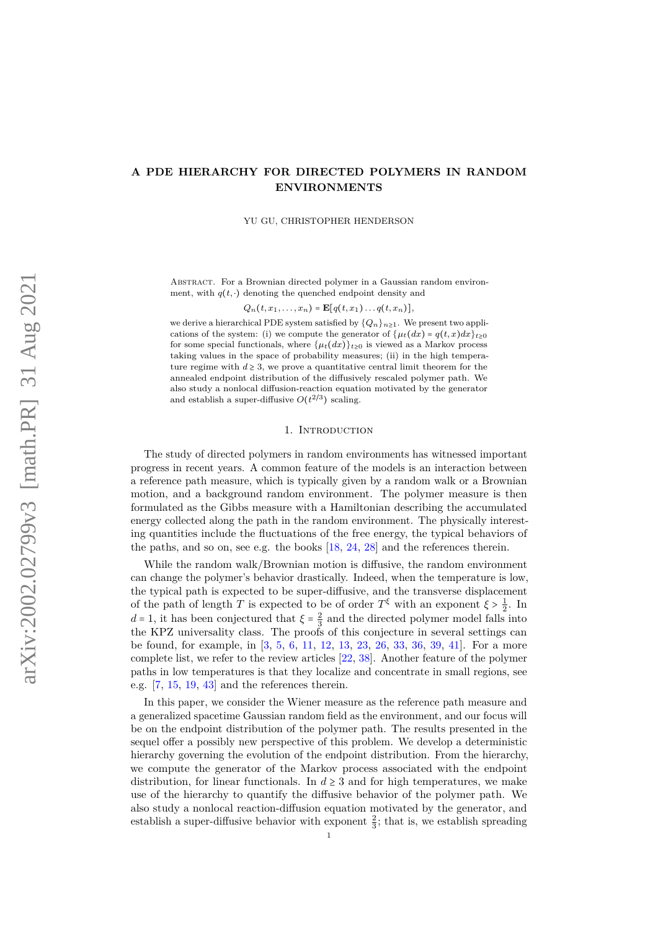# <span id="page-0-0"></span>**A PDE HIERARCHY FOR DIRECTED POLYMERS IN RANDOM ENVIRONMENTS**

YU GU, CHRISTOPHER HENDERSON

ABSTRACT. For a Brownian directed polymer in a Gaussian random environment, with  $q(t, \cdot)$  denoting the quenched endpoint density and

 $Q_n(t, x_1, \ldots, x_n) = \mathbf{E}[q(t, x_1) \ldots q(t, x_n)],$ 

we derive a hierarchical PDE system satisfied by  $\{Q_n\}_{n\geq 1}$ . We present two applications of the system: (i) we compute the generator of  $\{\mu_t(dx) = q(t,x)dx\}_{t\geq0}$ for some special functionals, where  $\{\mu_t(dx)\}_{t>0}$  is viewed as a Markov process taking values in the space of probability measures; (ii) in the high temperature regime with  $d \geq 3$ , we prove a quantitative central limit theorem for the annealed endpoint distribution of the diffusively rescaled polymer path. We also study a nonlocal diffusion-reaction equation motivated by the generator and establish a super-diffusive  $O(t^{2/3})$  scaling.

### 1. INTRODUCTION

The study of directed polymers in random environments has witnessed important progress in recent years. A common feature of the models is an interaction between a reference path measure, which is typically given by a random walk or a Brownian motion, and a background random environment. The polymer measure is then formulated as the Gibbs measure with a Hamiltonian describing the accumulated energy collected along the path in the random environment. The physically interesting quantities include the fluctuations of the free energy, the typical behaviors of the paths, and so on, see e.g. the books [\[18,](#page-26-0) [24,](#page-26-1) [28\]](#page-27-0) and the references therein.

While the random walk/Brownian motion is diffusive, the random environment can change the polymer's behavior drastically. Indeed, when the temperature is low, the typical path is expected to be super-diffusive, and the transverse displacement of the path of length *T* is expected to be of order  $T^{\xi}$  with an exponent  $\xi > \frac{1}{2}$ . In *d* = 1, it has been conjectured that  $\xi = \frac{2}{3}$  and the directed polymer model falls into the KPZ universality class. The proofs of this conjecture in several settings can be found, for example, in [\[3,](#page-26-2) [5,](#page-26-3) [6,](#page-26-4) [11,](#page-26-5) [12,](#page-26-6) [13,](#page-26-7) [23,](#page-26-8) [26,](#page-26-9) [33,](#page-27-1) [36,](#page-27-2) [39,](#page-27-3) [41\]](#page-27-4). For a more complete list, we refer to the review articles [\[22,](#page-26-10) [38\]](#page-27-5). Another feature of the polymer paths in low temperatures is that they localize and concentrate in small regions, see e.g. [\[7,](#page-26-11) [15,](#page-26-12) [19,](#page-26-13) [43\]](#page-27-6) and the references therein.

In this paper, we consider the Wiener measure as the reference path measure and a generalized spacetime Gaussian random field as the environment, and our focus will be on the endpoint distribution of the polymer path. The results presented in the sequel offer a possibly new perspective of this problem. We develop a deterministic hierarchy governing the evolution of the endpoint distribution. From the hierarchy we compute the generator of the Markov process associated with the endpoint distribution, for linear functionals. In  $d \geq 3$  and for high temperatures, we make use of the hierarchy to quantify the diffusive behavior of the polymer path. We also study a nonlocal reaction-diffusion equation motivated by the generator, and establish a super-diffusive behavior with exponent  $\frac{2}{3}$ ; that is, we establish spreading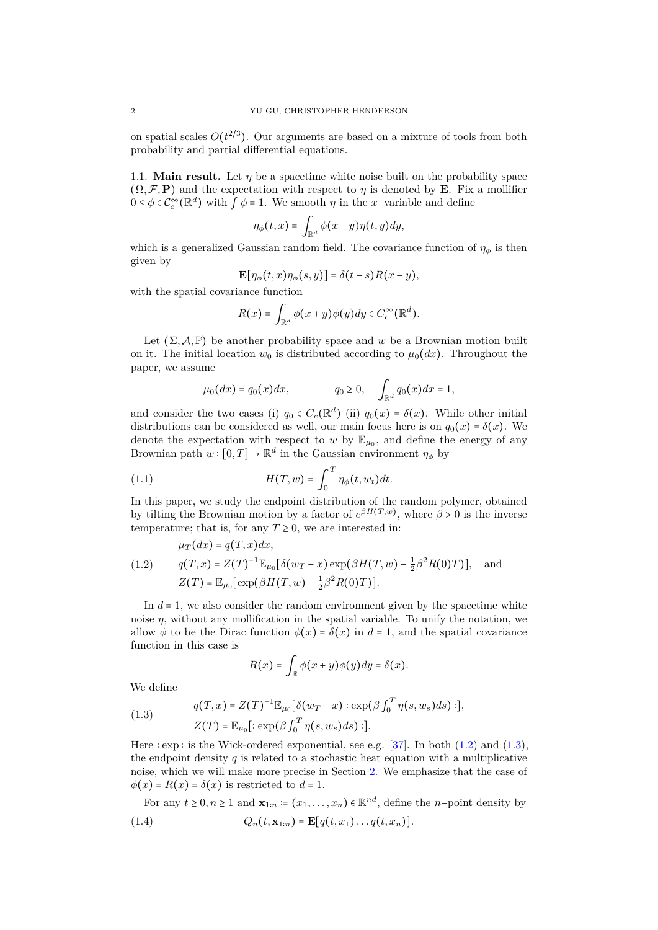<span id="page-1-4"></span>on spatial scales  $O(t^{2/3})$ . Our arguments are based on a mixture of tools from both probability and partial differential equations.

1.1. **Main result.** Let  $\eta$  be a spacetime white noise built on the probability space  $(\Omega, \mathcal{F}, \mathbf{P})$  and the expectation with respect to *η* is denoted by **E**. Fix a mollifier  $0 \leq \phi \in C_c^{\infty}(\mathbb{R}^d)$  with  $\int \phi = 1$ . We smooth  $\eta$  in the *x*−variable and define

$$
\eta_\phi(t,x) = \int_{\mathbb{R}^d} \phi(x-y) \eta(t,y) dy,
$$

which is a generalized Gaussian random field. The covariance function of  $\eta_{\phi}$  is then given by

$$
\mathbf{E}[\eta_{\phi}(t,x)\eta_{\phi}(s,y)] = \delta(t-s)R(x-y),
$$

with the spatial covariance function

$$
R(x) = \int_{\mathbb{R}^d} \phi(x+y)\phi(y)dy \in C_c^{\infty}(\mathbb{R}^d).
$$

Let  $(\Sigma, \mathcal{A}, \mathbb{P})$  be another probability space and w be a Brownian motion built on it. The initial location  $w_0$  is distributed according to  $\mu_0(dx)$ . Throughout the paper, we assume

<span id="page-1-3"></span>
$$
\mu_0(dx) = q_0(x)dx,
$$
  $q_0 \ge 0, \quad \int_{\mathbb{R}^d} q_0(x)dx = 1,$ 

and consider the two cases (i)  $q_0 \in C_c(\mathbb{R}^d)$  (ii)  $q_0(x) = \delta(x)$ . While other initial distributions can be considered as well, our main focus here is on  $q_0(x) = \delta(x)$ . We denote the expectation with respect to *w* by  $\mathbb{E}_{\mu_0}$ , and define the energy of any Brownian path  $w : [0, T] \to \mathbb{R}^d$  in the Gaussian environment  $\eta_\phi$  by

(1.1) 
$$
H(T, w) = \int_0^T \eta_{\phi}(t, w_t) dt.
$$

In this paper, we study the endpoint distribution of the random polymer, obtained by tilting the Brownian motion by a factor of  $e^{\beta H(T,w)}$ , where  $\beta > 0$  is the inverse temperature; that is, for any  $T \geq 0$ , we are interested in:

<span id="page-1-0"></span>
$$
\mu_T(dx) = q(T, x)dx,
$$
  
(1.2) 
$$
q(T, x) = Z(T)^{-1} \mathbb{E}_{\mu_0} [\delta(w_T - x) \exp(\beta H(T, w) - \frac{1}{2}\beta^2 R(0)T)], \text{ and}
$$

$$
Z(T) = \mathbb{E}_{\mu_0} [\exp(\beta H(T, w) - \frac{1}{2}\beta^2 R(0)T)].
$$

In  $d = 1$ , we also consider the random environment given by the spacetime white noise  $\eta$ , without any mollification in the spatial variable. To unify the notation, we allow  $\phi$  to be the Dirac function  $\phi(x) = \delta(x)$  in  $d = 1$ , and the spatial covariance function in this case is

$$
R(x) = \int_{\mathbb{R}} \phi(x+y)\phi(y)dy = \delta(x).
$$

We define

<span id="page-1-1"></span>(1.3) 
$$
q(T,x) = Z(T)^{-1} \mathbb{E}_{\mu_0} [\delta(w_T - x) : \exp(\beta \int_0^T \eta(s, w_s) ds) :],
$$

$$
Z(T) = \mathbb{E}_{\mu_0}[:\exp(\beta \int_0^T \eta(s, w_s) ds) :].
$$

Here  $:$  exp  $:$  is the Wick-ordered exponential, see e.g. [\[37\]](#page-27-7). In both  $(1.2)$  and  $(1.3)$ , the endpoint density  $q$  is related to a stochastic heat equation with a multiplicative noise, which we will make more precise in Section [2.](#page-7-0) We emphasize that the case of  $\phi(x) = R(x) = \delta(x)$  is restricted to  $d = 1$ .

<span id="page-1-2"></span>For any  $t \geq 0, n \geq 1$  and  $\mathbf{x}_{1:n} := (x_1, \ldots, x_n) \in \mathbb{R}^{nd}$ , define the *n*-point density by (1.4)  $Q_n(t, \mathbf{x}_{1:n}) = \mathbf{E}[q(t, x_1) \dots q(t, x_n)].$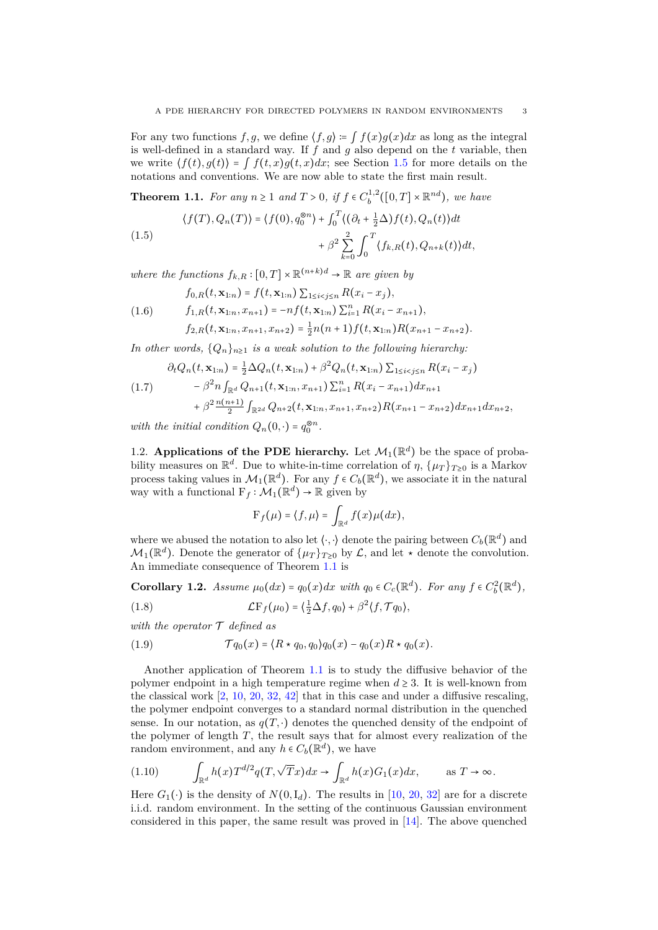<span id="page-2-7"></span>For any two functions  $f, g$ , we define  $\langle f, g \rangle \coloneqq \int f(x)g(x)dx$  as long as the integral is well-defined in a standard way. If *f* and *g* also depend on the *t* variable, then we write  $\langle f(t), g(t) \rangle = \int f(t, x)g(t, x)dx$ ; see Section [1.5](#page-7-1) for more details on the notations and conventions. We are now able to state the first main result.

<span id="page-2-0"></span>**Theorem 1.1.** *For any*  $n \ge 1$  *and*  $T > 0$ *,* if  $f \in C_b^{1,2}([0, T] \times \mathbb{R}^{nd})$ *, we have* 

<span id="page-2-5"></span>(1.5)  
\n
$$
\langle f(T), Q_n(T) \rangle = \langle f(0), q_0^{\otimes n} \rangle + \int_0^T \langle (\partial_t + \frac{1}{2} \Delta) f(t), Q_n(t) \rangle dt + \beta^2 \sum_{k=0}^2 \int_0^T \langle f_{k,R}(t), Q_{n+k}(t) \rangle dt,
$$

*where the functions*  $f_{k,R} : [0,T] \times \mathbb{R}^{(n+k)d} \to \mathbb{R}$  are given by

<span id="page-2-6"></span>(1.6) 
$$
f_{0,R}(t, \mathbf{x}_{1:n}) = f(t, \mathbf{x}_{1:n}) \sum_{1 \leq i < j \leq n} R(x_i - x_j),
$$

$$
f_{1,R}(t, \mathbf{x}_{1:n}, x_{n+1}) = -nf(t, \mathbf{x}_{1:n}) \sum_{i=1}^n R(x_i - x_{n+1}),
$$

$$
f_{2,R}(t, \mathbf{x}_{1:n}, x_{n+1}, x_{n+2}) = \frac{1}{2}n(n+1)f(t, \mathbf{x}_{1:n})R(x_{n+1} - x_{n+2}).
$$

*In other words,*  $\{Q_n\}_{n\geq 1}$  *is a weak solution to the following hierarchy:* 

$$
\partial_t Q_n(t, \mathbf{x}_{1:n}) = \frac{1}{2} \Delta Q_n(t, \mathbf{x}_{1:n}) + \beta^2 Q_n(t, \mathbf{x}_{1:n}) \sum_{1 \leq i < j \leq n} R(x_i - x_j)
$$

<span id="page-2-2"></span>
$$
(1.7) \qquad -\beta^2 n \int_{\mathbb{R}^d} Q_{n+1}(t, \mathbf{x}_{1:n}, x_{n+1}) \sum_{i=1}^n R(x_i - x_{n+1}) dx_{n+1} + \beta^2 \frac{n(n+1)}{2} \int_{\mathbb{R}^{2d}} Q_{n+2}(t, \mathbf{x}_{1:n}, x_{n+1}, x_{n+2}) R(x_{n+1} - x_{n+2}) dx_{n+1} dx_{n+2},
$$

*with the initial condition*  $Q_n(0, \cdot) = q_0^{\otimes n}$ .

1.2. **Applications of the PDE hierarchy.** Let  $\mathcal{M}_1(\mathbb{R}^d)$  be the space of probability measures on  $\mathbb{R}^d$ . Due to white-in-time correlation of  $\eta$ ,  $\{\mu_T\}_{T\geq 0}$  is a Markov process taking values in  $\mathcal{M}_1(\mathbb{R}^d)$ . For any  $f \in C_b(\mathbb{R}^d)$ , we associate it in the natural way with a functional  $F_f : \mathcal{M}_1(\mathbb{R}^d) \to \mathbb{R}$  given by

<span id="page-2-4"></span>
$$
\mathrm{F}_f(\mu) = \langle f, \mu \rangle = \int_{\mathbb{R}^d} f(x) \mu(dx),
$$

where we abused the notation to also let  $\langle \cdot, \cdot \rangle$  denote the pairing between  $C_b(\mathbb{R}^d)$  and  $\mathcal{M}_1(\mathbb{R}^d)$ . Denote the generator of  $\{\mu_T\}_{T\geq 0}$  by  $\mathcal{L}$ , and let  $\star$  denote the convolution. An immediate consequence of Theorem [1.1](#page-2-0) is

<span id="page-2-3"></span>**Corollary 1.2.** *Assume*  $\mu_0(dx) = q_0(x)dx$  *with*  $q_0 \in C_c(\mathbb{R}^d)$ *. For any*  $f \in C_b^2(\mathbb{R}^d)$ *,* 

(1.8) 
$$
\mathcal{L}F_f(\mu_0) = \left(\frac{1}{2}\Delta f, q_0\right) + \beta^2 \langle f, \mathcal{T}q_0 \rangle,
$$

*with the operator* T *defined as*

(1.9) T *q*0(*x*) = ⟨*R* ⋆ *q*0*, q*0⟩*q*0(*x*) − *q*0(*x*)*R* ⋆ *q*0(*x*)*.*

Another application of Theorem [1.1](#page-2-0) is to study the diffusive behavior of the polymer endpoint in a high temperature regime when  $d \geq 3$ . It is well-known from the classical work  $[2, 10, 20, 32, 42]$  $[2, 10, 20, 32, 42]$  $[2, 10, 20, 32, 42]$  $[2, 10, 20, 32, 42]$  $[2, 10, 20, 32, 42]$  $[2, 10, 20, 32, 42]$  $[2, 10, 20, 32, 42]$  $[2, 10, 20, 32, 42]$  $[2, 10, 20, 32, 42]$  that in this case and under a diffusive rescaling, the polymer endpoint converges to a standard normal distribution in the quenched sense. In our notation, as  $q(T, \cdot)$  denotes the quenched density of the endpoint of the polymer of length *T*, the result says that for almost every realization of the random environment, and any  $h \in C_b(\mathbb{R}^d)$ , we have

<span id="page-2-1"></span>(1.10) 
$$
\int_{\mathbb{R}^d} h(x) T^{d/2} q(T, \sqrt{T}x) dx \to \int_{\mathbb{R}^d} h(x) G_1(x) dx, \quad \text{as } T \to \infty.
$$

Here  $G_1(\cdot)$  is the density of  $N(0, I_d)$ . The results in [\[10,](#page-26-15) [20,](#page-26-16) [32\]](#page-27-8) are for a discrete i.i.d. random environment. In the setting of the continuous Gaussian environment considered in this paper, the same result was proved in [\[14\]](#page-26-17). The above quenched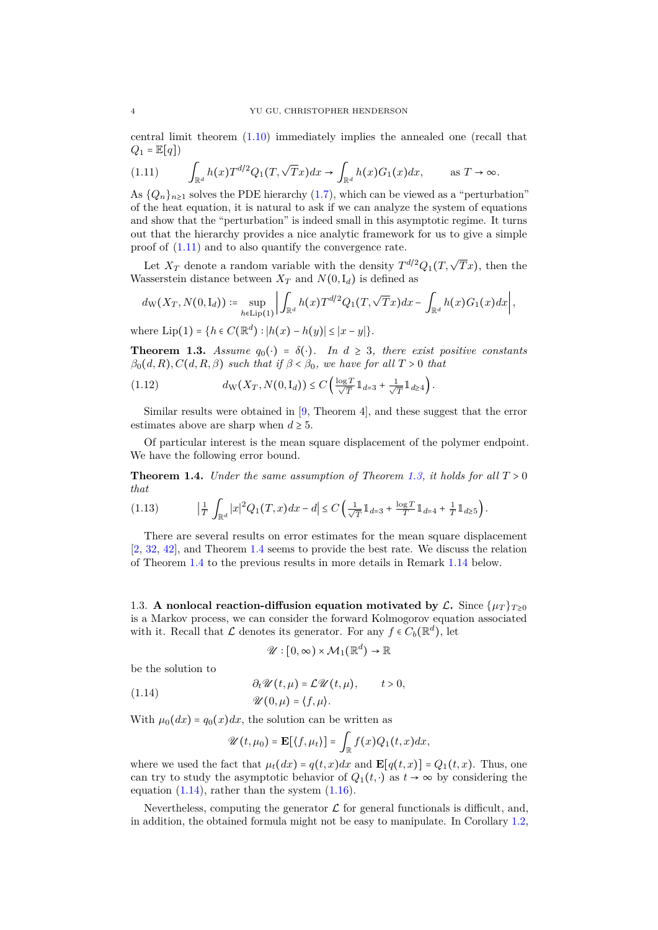<span id="page-3-6"></span>central limit theorem [\(1.10\)](#page-2-1) immediately implies the annealed one (recall that  $Q_1 = \mathbb{E}[q]$ 

<span id="page-3-0"></span>(1.11) 
$$
\int_{\mathbb{R}^d} h(x) T^{d/2} Q_1(T, \sqrt{T}x) dx \to \int_{\mathbb{R}^d} h(x) G_1(x) dx, \quad \text{as } T \to \infty.
$$

As  ${Q_n}_{n\geq 1}$  solves the PDE hierarchy [\(1.7\)](#page-2-2), which can be viewed as a "perturbation" of the heat equation, it is natural to ask if we can analyze the system of equations and show that the "perturbation" is indeed small in this asymptotic regime. It turns out that the hierarchy provides a nice analytic framework for us to give a simple proof of [\(1.11\)](#page-3-0) and to also quantify the convergence rate.

Let  $X_T$  denote a random variable with the density  $T^{d/2}Q_1(T,\sqrt{T}x)$ , then the Wasserstein distance between  $X_T$  and  $N(0, I_d)$  is defined as

$$
d_{\rm W}(X_T,N(0,\mathrm{I}_d))\coloneqq\sup_{h\in \mathrm{Lip}(1)}\left|\int_{\mathbb{R}^d}h(x)T^{d/2}Q_1(T,\sqrt{T}x)dx-\int_{\mathbb{R}^d}h(x)G_1(x)dx\right|,
$$

where  $\text{Lip}(1) = \{h \in C(\mathbb{R}^d) : |h(x) - h(y)| \leq |x - y|\}.$ 

<span id="page-3-1"></span>**Theorem 1.3.** *Assume*  $q_0(\cdot) = \delta(\cdot)$ *. In*  $d \geq 3$ *, there exist positive constants*  $\beta_0(d, R), C(d, R, \beta)$  *such that if*  $\beta < \beta_0$ *, we have for all*  $T > 0$  *that* 

<span id="page-3-4"></span>
$$
(1.12) \t d_W(X_T, N(0, I_d)) \leq C \left( \frac{\log T}{\sqrt{T}} \mathbb{1}_{d=3} + \frac{1}{\sqrt{T}} \mathbb{1}_{d \geq 4} \right).
$$

Similar results were obtained in [\[9,](#page-26-18) Theorem 4], and these suggest that the error estimates above are sharp when  $d \geq 5$ .

Of particular interest is the mean square displacement of the polymer endpoint. We have the following error bound.

<span id="page-3-2"></span>**Theorem 1.4.** *Under the same assumption of Theorem [1.3,](#page-3-1) it holds for all*  $T > 0$ *that*

<span id="page-3-5"></span>
$$
(1.13) \qquad \qquad \left|\frac{1}{T}\int_{\mathbb{R}^d}|x|^2Q_1(T,x)dx-d\right|\leq C\left(\frac{1}{\sqrt{T}}1\!\!1_{d=3}+\frac{\log T}{T}1\!\!1_{d=4}+\frac{1}{T}1\!\!1_{d\geq 5}\right).
$$

There are several results on error estimates for the mean square displacement [\[2,](#page-26-14) [32,](#page-27-8) [42\]](#page-27-9), and Theorem [1.4](#page-3-2) seems to provide the best rate. We discuss the relation of Theorem [1.4](#page-3-2) to the previous results in more details in Remark [1.14](#page-7-2) below.

1.3. **A** nonlocal reaction-diffusion equation motivated by  $\mathcal{L}$ . Since  $\{ \mu_T \}_{T>0}$ is a Markov process, we can consider the forward Kolmogorov equation associated with it. Recall that  $\mathcal L$  denotes its generator. For any  $f \in C_b(\mathbb R^d)$ , let

<span id="page-3-3"></span>
$$
\mathscr{U} : [0, \infty) \times \mathcal{M}_1(\mathbb{R}^d) \to \mathbb{R}
$$

be the solution to

(1.14) 
$$
\begin{aligned}\n\partial_t \mathcal{U}(t,\mu) &= \mathcal{L}\mathcal{U}(t,\mu), & t > 0 \\
\mathcal{U}(0,\mu) &= \langle f,\mu \rangle.\n\end{aligned}
$$

With  $\mu_0(dx) = q_0(x)dx$ , the solution can be written as

$$
\mathscr{U}(t,\mu_0) = \mathbf{E}[\langle f,\mu_t\rangle] = \int_{\mathbb{R}} f(x)Q_1(t,x)dx,
$$

where we used the fact that  $\mu_t(dx) = q(t, x)dx$  and  $\mathbf{E}[q(t, x)] = Q_1(t, x)$ . Thus, one can try to study the asymptotic behavior of  $Q_1(t, \cdot)$  as  $t \to \infty$  by considering the equation  $(1.14)$ , rather than the system  $(1.16)$ .

Nevertheless, computing the generator  $\mathcal L$  for general functionals is difficult, and, in addition, the obtained formula might not be easy to manipulate. In Corollary [1.2,](#page-2-3)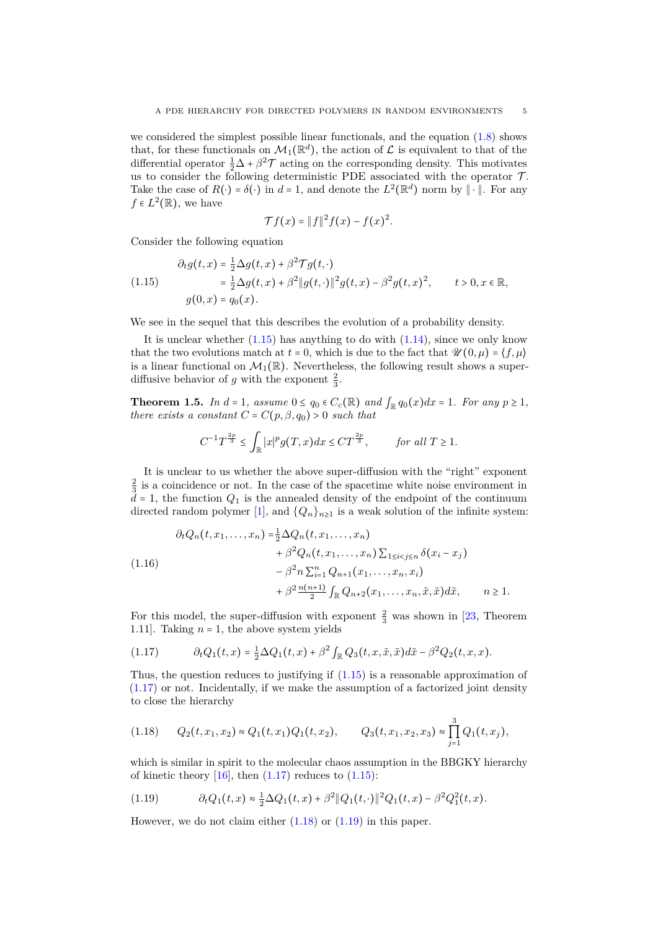<span id="page-4-6"></span>we considered the simplest possible linear functionals, and the equation [\(1.8\)](#page-2-4) shows that, for these functionals on  $\mathcal{M}_1(\mathbb{R}^d)$ , the action of  $\mathcal L$  is equivalent to that of the differential operator  $\frac{1}{2}\Delta + \beta^2 \mathcal{T}$  acting on the corresponding density. This motivates us to consider the following deterministic PDE associated with the operator  $\mathcal{T}$ . Take the case of  $R(\cdot) = \delta(\cdot)$  in  $d = 1$ , and denote the  $L^2(\mathbb{R}^d)$  norm by  $\|\cdot\|$ . For any  $f \in L^2(\mathbb{R})$ , we have

$$
\mathcal{T}f(x) = ||f||^2 f(x) - f(x)^2.
$$

Consider the following equation

<span id="page-4-1"></span>
$$
\partial_t g(t, x) = \frac{1}{2} \Delta g(t, x) + \beta^2 \mathcal{T} g(t, \cdot) \n= \frac{1}{2} \Delta g(t, x) + \beta^2 \|g(t, \cdot)\|^2 g(t, x) - \beta^2 g(t, x)^2, \qquad t > 0, x \in \mathbb{R}, \ng(0, x) = q_0(x).
$$

We see in the sequel that this describes the evolution of a probability density.

It is unclear whether  $(1.15)$  has anything to do with  $(1.14)$ , since we only know that the two evolutions match at  $t = 0$ , which is due to the fact that  $\mathscr{U}(0, \mu) = \langle f, \mu \rangle$ is a linear functional on  $\mathcal{M}_1(\mathbb{R})$ . Nevertheless, the following result shows a superdiffusive behavior of *g* with the exponent  $\frac{2}{3}$ .

<span id="page-4-5"></span>**Theorem 1.5.** *In*  $d = 1$ *, assume*  $0 \le q_0 \in C_c(\mathbb{R})$  *and*  $\int_{\mathbb{R}} q_0(x) dx = 1$ *. For any*  $p \ge 1$ *, there exists a constant*  $C = C(p, \beta, q_0) > 0$  *such that* 

$$
C^{-1}T^{\frac{2p}{3}} \le \int_{\mathbb{R}} |x|^p g(T,x) dx \le CT^{\frac{2p}{3}}, \quad \text{for all } T \ge 1.
$$

It is unclear to us whether the above super-diffusion with the "right" exponent  $\frac{2}{3}$  is a coincidence or not. In the case of the spacetime white noise environment in  $d = 1$ , the function  $Q_1$  is the annealed density of the endpoint of the continuum directed random polymer [\[1\]](#page-26-19), and  $\{Q_n\}_{n\geq 1}$  is a weak solution of the infinite system:

<span id="page-4-0"></span>
$$
\partial_t Q_n(t, x_1, \dots, x_n) = \frac{1}{2} \Delta Q_n(t, x_1, \dots, x_n) \n+ \beta^2 Q_n(t, x_1, \dots, x_n) \sum_{1 \le i < j \le n} \delta(x_i - x_j) \n- \beta^2 n \sum_{i=1}^n Q_{n+1}(x_1, \dots, x_n, x_i) \n+ \beta^2 \frac{n(n+1)}{2} \int_{\mathbb{R}} Q_{n+2}(x_1, \dots, x_n, \tilde{x}, \tilde{x}) d\tilde{x}, \qquad n \ge 1.
$$

For this model, the super-diffusion with exponent  $\frac{2}{3}$  was shown in [\[23,](#page-26-8) Theorem 1.11]. Taking  $n = 1$ , the above system yields

<span id="page-4-2"></span>
$$
(1.17) \qquad \partial_t Q_1(t,x) = \frac{1}{2}\Delta Q_1(t,x) + \beta^2 \int_{\mathbb{R}} Q_3(t,x,\tilde{x},\tilde{x})d\tilde{x} - \beta^2 Q_2(t,x,x).
$$

Thus, the question reduces to justifying if  $(1.15)$  is a reasonable approximation of [\(1.17\)](#page-4-2) or not. Incidentally, if we make the assumption of a factorized joint density to close the hierarchy

<span id="page-4-3"></span>
$$
(1.18) \qquad Q_2(t,x_1,x_2) \approx Q_1(t,x_1)Q_1(t,x_2), \qquad Q_3(t,x_1,x_2,x_3) \approx \prod_{j=1}^3 Q_1(t,x_j),
$$

which is similar in spirit to the molecular chaos assumption in the BBGKY hierarchy of kinetic theory  $[16]$ , then  $(1.17)$  reduces to  $(1.15)$ :

<span id="page-4-4"></span>(1.19) 
$$
\partial_t Q_1(t,x) \approx \frac{1}{2} \Delta Q_1(t,x) + \beta^2 \|Q_1(t,\cdot)\|^2 Q_1(t,x) - \beta^2 Q_1^2(t,x).
$$

However, we do not claim either  $(1.18)$  or  $(1.19)$  in this paper.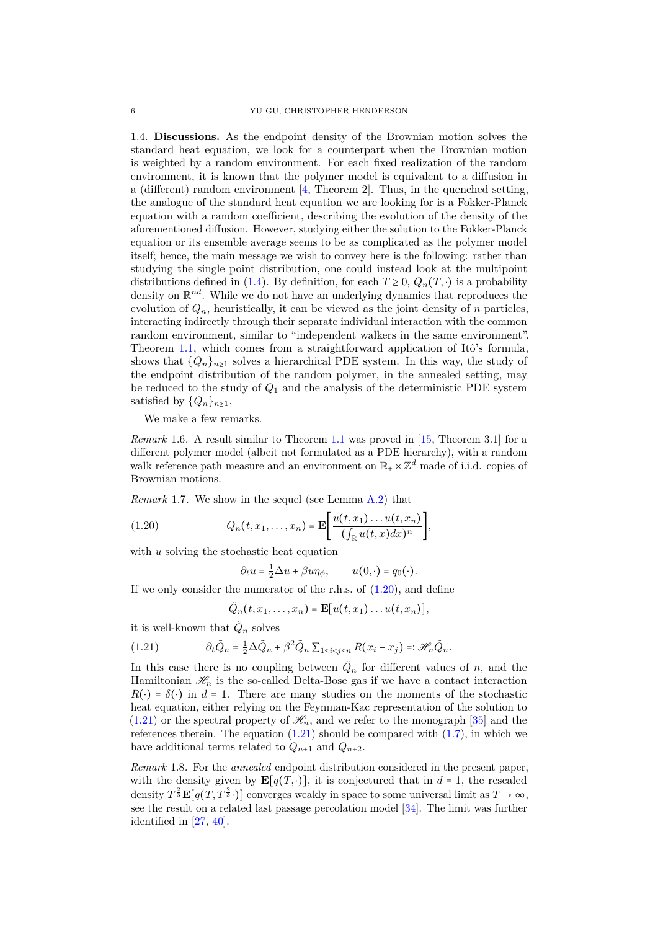<span id="page-5-2"></span>1.4. **Discussions.** As the endpoint density of the Brownian motion solves the standard heat equation, we look for a counterpart when the Brownian motion is weighted by a random environment. For each fixed realization of the random environment, it is known that the polymer model is equivalent to a diffusion in a (different) random environment [\[4,](#page-26-21) Theorem 2]. Thus, in the quenched setting, the analogue of the standard heat equation we are looking for is a Fokker-Planck equation with a random coefficient, describing the evolution of the density of the aforementioned diffusion. However, studying either the solution to the Fokker-Planck equation or its ensemble average seems to be as complicated as the polymer model itself; hence, the main message we wish to convey here is the following: rather than studying the single point distribution, one could instead look at the multipoint distributions defined in [\(1.4\)](#page-1-2). By definition, for each  $T \geq 0$ ,  $Q_n(T, \cdot)$  is a probability density on  $\mathbb{R}^{nd}$ . While we do not have an underlying dynamics that reproduces the evolution of  $Q_n$ , heuristically, it can be viewed as the joint density of  $n$  particles interacting indirectly through their separate individual interaction with the common random environment, similar to "independent walkers in the same environment". Theorem [1.1,](#page-2-0) which comes from a straightforward application of Itô's formula, shows that  $\{Q_n\}_{n\geq 1}$  solves a hierarchical PDE system. In this way, the study of the endpoint distribution of the random polymer, in the annealed setting, may be reduced to the study of *Q*<sup>1</sup> and the analysis of the deterministic PDE system satisfied by  $\{Q_n\}_{n\geq 1}$ .

We make a few remarks.

*Remark* 1.6*.* A result similar to Theorem [1.1](#page-2-0) was proved in [\[15,](#page-26-12) Theorem 3.1] for a different polymer model (albeit not formulated as a PDE hierarchy), with a random walk reference path measure and an environment on  $\mathbb{R}_+ \times \mathbb{Z}^d$  made of i.i.d. copies of Brownian motions.

*Remark* 1.7*.* We show in the sequel (see Lemma [A.2\)](#page-22-0) that

(1.20) 
$$
Q_n(t,x_1,\ldots,x_n) = \mathbf{E}\bigg[\frac{u(t,x_1)\ldots u(t,x_n)}{(\int_{\mathbb{R}} u(t,x)dx)^n}\bigg],
$$

with *u* solving the stochastic heat equation

<span id="page-5-0"></span>
$$
\partial_t u = \frac{1}{2} \Delta u + \beta u \eta_\phi, \qquad u(0, \cdot) = q_0(\cdot).
$$

If we only consider the numerator of the r.h.s. of  $(1.20)$ , and define

<span id="page-5-1"></span>
$$
\tilde{Q}_n(t,x_1,\ldots,x_n)=\mathbf{E}[u(t,x_1)\ldots u(t,x_n)],
$$

it is well-known that  $\tilde{Q}_n$  solves

(1.21) 
$$
\partial_t \tilde{Q}_n = \frac{1}{2} \Delta \tilde{Q}_n + \beta^2 \tilde{Q}_n \sum_{1 \le i < j \le n} R(x_i - x_j) =: \mathcal{H}_n \tilde{Q}_n.
$$

In this case there is no coupling between  $\tilde{Q}_n$  for different values of *n*, and the Hamiltonian  $\mathcal{H}_n$  is the so-called Delta-Bose gas if we have a contact interaction  $R(\cdot) = \delta(\cdot)$  in  $d = 1$ . There are many studies on the moments of the stochastic heat equation, either relying on the Feynman-Kac representation of the solution to  $(1.21)$  or the spectral property of  $\mathcal{H}_n$ , and we refer to the monograph [\[35\]](#page-27-10) and the references therein. The equation  $(1.21)$  should be compared with  $(1.7)$ , in which we have additional terms related to  $Q_{n+1}$  and  $Q_{n+2}$ .

*Remark* 1.8*.* For the *annealed* endpoint distribution considered in the present paper, with the density given by  $\mathbf{E}[q(T, \cdot)]$ , it is conjectured that in  $d = 1$ , the rescaled density  $T^{\frac{2}{3}}\mathbf{E}[q(T,T^{\frac{2}{3}}\cdot)]$  converges weakly in space to some universal limit as  $T\to\infty$ , see the result on a related last passage percolation model [\[34\]](#page-27-11). The limit was further identified in [\[27,](#page-26-22) [40\]](#page-27-12).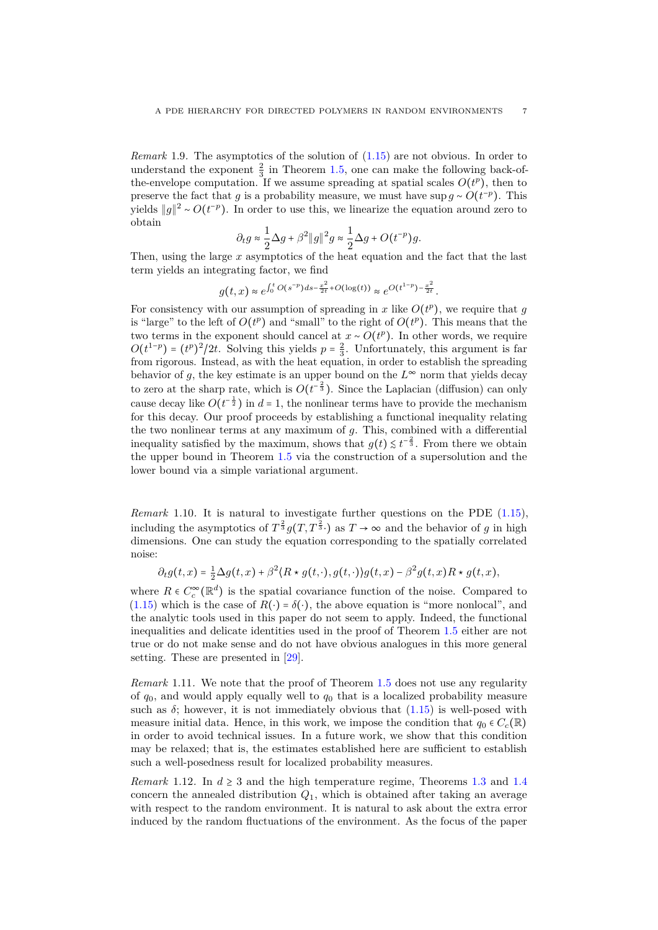<span id="page-6-0"></span>*Remark* 1.9. The asymptotics of the solution of  $(1.15)$  are not obvious. In order to understand the exponent  $\frac{2}{3}$  in Theorem [1.5,](#page-4-5) one can make the following back-ofthe-envelope computation. If we assume spreading at spatial scales  $O(t^p)$ , then to preserve the fact that *g* is a probability measure, we must have sup  $g \sim O(t^{-p})$ . This yields  $||g||^2 ∼ O(t^{-p})$ . In order to use this, we linearize the equation around zero to obtain

$$
\partial_t g \approx \frac{1}{2} \Delta g + \beta^2 \|g\|^2 g \approx \frac{1}{2} \Delta g + O(t^{-p})g.
$$

Then, using the large *x* asymptotics of the heat equation and the fact that the last term yields an integrating factor, we find

$$
g(t,x) \approx e^{\int_0^t O(s^{-p}) ds - \frac{x^2}{2t} + O(\log(t))} \approx e^{O(t^{1-p}) - \frac{x^2}{2t}}.
$$

For consistency with our assumption of spreading in  $x$  like  $O(t^p)$ , we require that  $g$ is "large" to the left of  $O(t^p)$  and "small" to the right of  $O(t^p)$ . This means that the two terms in the exponent should cancel at  $x \sim O(t^p)$ . In other words, we require  $O(t^{1-p}) = (t^p)^2/2t$ . Solving this yields  $p = \frac{2}{3}$ . Unfortunately, this argument is far from rigorous. Instead, as with the heat equation, in order to establish the spreading behavior of  $g$ , the key estimate is an upper bound on the  $L^{\infty}$  norm that yields decay to zero at the sharp rate, which is  $O(t^{-\frac{2}{3}})$ . Since the Laplacian (diffusion) can only cause decay like  $O(t^{-\frac{1}{2}})$  in  $d = 1$ , the nonlinear terms have to provide the mechanism for this decay. Our proof proceeds by establishing a functional inequality relating the two nonlinear terms at any maximum of *g*. This, combined with a differential inequality satisfied by the maximum, shows that  $g(t) \leq t^{-\frac{2}{3}}$ . From there we obtain the upper bound in Theorem [1.5](#page-4-5) via the construction of a supersolution and the lower bound via a simple variational argument.

*Remark* 1.10. It is natural to investigate further questions on the PDE  $(1.15)$ , including the asymptotics of  $T^{\frac{2}{3}}g(T,T^{\frac{2}{3}})$  as  $T \to \infty$  and the behavior of *g* in high dimensions. One can study the equation corresponding to the spatially correlated noise:

 $\partial_t g(t,x) = \frac{1}{2}\Delta g(t,x) + \beta^2 \langle R \star g(t,\cdot), g(t,\cdot) \rangle g(t,x) - \beta^2 g(t,x) R \star g(t,x),$ 

where  $R \in C_c^{\infty}(\mathbb{R}^d)$  is the spatial covariance function of the noise. Compared to [\(1.15\)](#page-4-1) which is the case of  $R(\cdot) = \delta(\cdot)$ , the above equation is "more nonlocal", and the analytic tools used in this paper do not seem to apply. Indeed, the functional inequalities and delicate identities used in the proof of Theorem [1.5](#page-4-5) either are not true or do not make sense and do not have obvious analogues in this more general setting. These are presented in [\[29\]](#page-27-13).

*Remark* 1.11*.* We note that the proof of Theorem [1.5](#page-4-5) does not use any regularity of  $q_0$ , and would apply equally well to  $q_0$  that is a localized probability measure such as  $\delta$ ; however, it is not immediately obvious that  $(1.15)$  is well-posed with measure initial data. Hence, in this work, we impose the condition that  $q_0 \in C_c(\mathbb{R})$ in order to avoid technical issues. In a future work, we show that this condition may be relaxed; that is, the estimates established here are sufficient to establish such a well-posedness result for localized probability measures.

*Remark* 1.12. In  $d \geq 3$  and the high temperature regime, Theorems [1.3](#page-3-1) and [1.4](#page-3-2) concern the annealed distribution  $Q_1$ , which is obtained after taking an average with respect to the random environment. It is natural to ask about the extra error induced by the random fluctuations of the environment. As the focus of the paper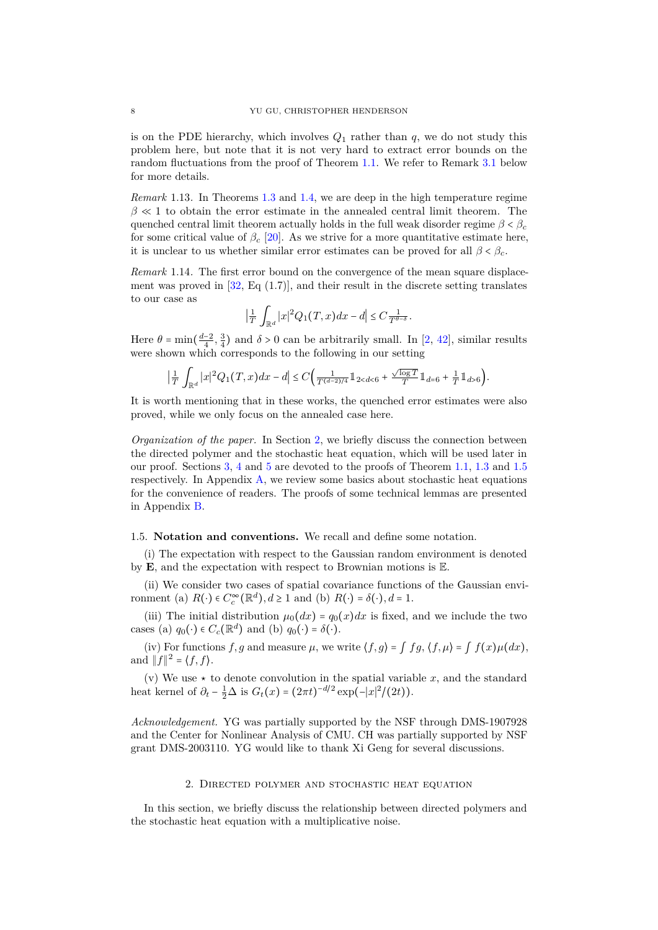<span id="page-7-3"></span>is on the PDE hierarchy, which involves  $Q_1$  rather than  $q$ , we do not study this problem here, but note that it is not very hard to extract error bounds on the random fluctuations from the proof of Theorem [1.1.](#page-2-0) We refer to Remark [3.1](#page-11-0) below for more details.

*Remark* 1.13*.* In Theorems [1.3](#page-3-1) and [1.4,](#page-3-2) we are deep in the high temperature regime  $\beta \ll 1$  to obtain the error estimate in the annealed central limit theorem. The quenched central limit theorem actually holds in the full weak disorder regime  $\beta < \beta_c$ for some critical value of  $\beta_c$  [\[20\]](#page-26-16). As we strive for a more quantitative estimate here, it is unclear to us whether similar error estimates can be proved for all  $\beta < \beta_c$ .

<span id="page-7-2"></span>*Remark* 1.14*.* The first error bound on the convergence of the mean square displacement was proved in  $[32, Eq. (1.7)]$  $[32, Eq. (1.7)]$ , and their result in the discrete setting translates to our case as

$$
\left|\frac{1}{T}\int_{\mathbb{R}^d}|x|^2Q_1(T,x)dx-d\right|\leq C\frac{1}{T^{\theta-\delta}}.
$$

Here  $\theta = \min(\frac{d-2}{4}, \frac{3}{4})$  and  $\delta > 0$  can be arbitrarily small. In [\[2,](#page-26-14) [42\]](#page-27-9), similar results were shown which corresponds to the following in our setting

$$
\Big|\tfrac{1}{T}\int_{\mathbb{R}^d} |x|^2Q_1\big(T,x\big)dx-d\Big|\leq C\Big(\tfrac{1}{T^{(d-2)/4}}1\!\!1_{26}\Big).
$$

It is worth mentioning that in these works, the quenched error estimates were also proved, while we only focus on the annealed case here.

*Organization of the paper.* In Section [2,](#page-7-0) we briefly discuss the connection between the directed polymer and the stochastic heat equation, which will be used later in our proof. Sections [3,](#page-8-0) [4](#page-14-0) and [5](#page-17-0) are devoted to the proofs of Theorem [1.1,](#page-2-0) [1.3](#page-3-1) and [1.5](#page-4-5) respectively. In Appendix [A,](#page-22-1) we review some basics about stochastic heat equations for the convenience of readers. The proofs of some technical lemmas are presented in Appendix [B.](#page-24-0)

### <span id="page-7-1"></span>1.5. **Notation and conventions.** We recall and define some notation.

(i) The expectation with respect to the Gaussian random environment is denoted by **E**, and the expectation with respect to Brownian motions is E.

(ii) We consider two cases of spatial covariance functions of the Gaussian environment (a)  $R(\cdot) \in C_c^{\infty}(\mathbb{R}^d), d \ge 1$  and (b)  $R(\cdot) = \delta(\cdot), d = 1$ .

(iii) The initial distribution  $\mu_0(dx) = q_0(x)dx$  is fixed, and we include the two cases (a)  $q_0(\cdot) \in C_c(\mathbb{R}^d)$  and (b)  $q_0(\cdot) = \delta(\cdot)$ .

(iv) For functions *f*, *g* and measure  $\mu$ , we write  $\langle f, g \rangle = \int f g, \langle f, \mu \rangle = \int f(x) \mu(dx)$ , and  $||f||^2 = \langle f, f \rangle$ .

(v) We use  $\star$  to denote convolution in the spatial variable x, and the standard heat kernel of  $\partial_t - \frac{1}{2}\Delta$  is  $G_t(x) = (2\pi t)^{-d/2} \exp(-|x|^2/(2t)).$ 

*Acknowledgement.* YG was partially supported by the NSF through DMS-1907928 and the Center for Nonlinear Analysis of CMU. CH was partially supported by NSF grant DMS-2003110. YG would like to thank Xi Geng for several discussions.

### 2. Directed polymer and stochastic heat equation

<span id="page-7-0"></span>In this section, we briefly discuss the relationship between directed polymers and the stochastic heat equation with a multiplicative noise.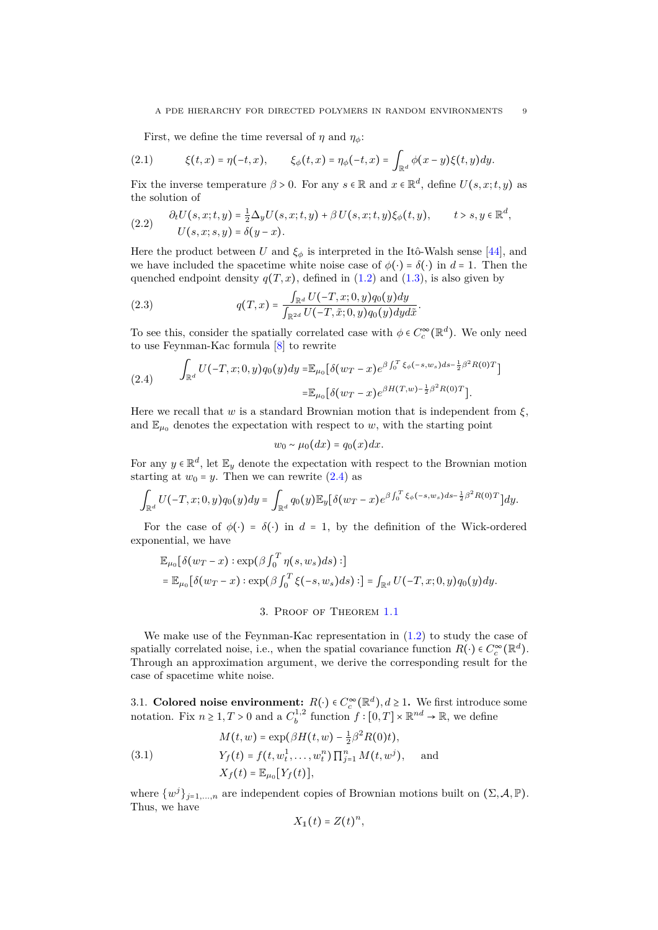<span id="page-8-3"></span>First, we define the time reversal of  $\eta$  and  $\eta_{\phi}$ :

(2.1) 
$$
\xi(t,x) = \eta(-t,x), \qquad \xi_{\phi}(t,x) = \eta_{\phi}(-t,x) = \int_{\mathbb{R}^d} \phi(x-y)\xi(t,y)dy.
$$

Fix the inverse temperature  $\beta > 0$ . For any  $s \in \mathbb{R}$  and  $x \in \mathbb{R}^d$ , define  $U(s, x; t, y)$  as the solution of

<span id="page-8-2"></span>(2.2) 
$$
\frac{\partial_t U(s, x; t, y) = \frac{1}{2} \Delta_y U(s, x; t, y) + \beta U(s, x; t, y) \xi_{\phi}(t, y), \quad t > s, y \in \mathbb{R}^d, \quad U(s, x; s, y) = \delta(y - x).
$$

Here the product between *U* and  $\xi_{\phi}$  is interpreted in the Itô-Walsh sense [\[44\]](#page-27-14), and we have included the spacetime white noise case of  $\phi(\cdot) = \delta(\cdot)$  in  $d = 1$ . Then the quenched endpoint density  $q(T, x)$ , defined in  $(1.2)$  and  $(1.3)$ , is also given by

(2.3) 
$$
q(T,x) = \frac{\int_{\mathbb{R}^d} U(-T,x;0,y)q_0(y)dy}{\int_{\mathbb{R}^{2d}} U(-T,\tilde{x};0,y)q_0(y)dyd\tilde{x}}.
$$

To see this, consider the spatially correlated case with  $\phi \in C_c^{\infty}(\mathbb{R}^d)$ . We only need to use Feynman-Kac formula [\[8\]](#page-26-23) to rewrite

<span id="page-8-1"></span>
$$
(2.4) \qquad \int_{\mathbb{R}^d} U(-T,x;0,y)q_0(y)dy = \mathbb{E}_{\mu_0}[\delta(w_T-x)e^{\beta\int_0^T \xi_\phi(-s,w_s)ds - \frac{1}{2}\beta^2 R(0)T}]
$$

$$
= \mathbb{E}_{\mu_0}[\delta(w_T-x)e^{\beta H(T,w) - \frac{1}{2}\beta^2 R(0)T}].
$$

Here we recall that *w* is a standard Brownian motion that is independent from  $\xi$ , and  $\mathbb{E}_{\mu_0}$  denotes the expectation with respect to *w*, with the starting point

$$
w_0 \sim \mu_0(dx) = q_0(x) dx.
$$

For any  $y \in \mathbb{R}^d$ , let  $\mathbb{E}_y$  denote the expectation with respect to the Brownian motion starting at  $w_0 = y$ . Then we can rewrite [\(2.4\)](#page-8-1) as

$$
\int_{\mathbb{R}^d} U(-T,x;0,y)q_0(y)dy = \int_{\mathbb{R}^d} q_0(y)\mathbb{E}_y\big[\delta(w_T-x)e^{\beta\int_0^T \xi_\phi(-s,w_s)ds-\frac{1}{2}\beta^2R(0)T}\big]dy.
$$

For the case of  $\phi(\cdot) = \delta(\cdot)$  in  $d = 1$ , by the definition of the Wick-ordered exponential, we have

$$
\mathbb{E}_{\mu_0}[\delta(w_T - x) : \exp(\beta \int_0^T \eta(s, w_s) ds) :]
$$
  
= 
$$
\mathbb{E}_{\mu_0}[\delta(w_T - x) : \exp(\beta \int_0^T \xi(-s, w_s) ds) :] = \int_{\mathbb{R}^d} U(-T, x; 0, y) q_0(y) dy.
$$

## 3. Proof of Theorem [1.1](#page-2-0)

<span id="page-8-0"></span>We make use of the Feynman-Kac representation in  $(1.2)$  to study the case of spatially correlated noise, i.e., when the spatial covariance function  $R(\cdot) \in C_c^{\infty}(\mathbb{R}^d)$ . Through an approximation argument, we derive the corresponding result for the case of spacetime white noise.

3.1. **Colored noise environment:**  $R(\cdot) \in C_c^{\infty}(\mathbb{R}^d), d \ge 1$ . We first introduce some notation. Fix  $n \geq 1, T > 0$  and a  $C_b^{1,2}$  function  $f : [0, T] \times \mathbb{R}^{nd} \to \mathbb{R}$ , we define

(3.1) 
$$
M(t, w) = \exp(\beta H(t, w) - \frac{1}{2}\beta^2 R(0)t),
$$

$$
Y_f(t) = f(t, w_t^1, \dots, w_t^n) \prod_{j=1}^n M(t, w^j), \text{ and }
$$

$$
X_f(t) = \mathbb{E}_{\mu_0}[Y_f(t)],
$$

where  $\{w^j\}_{j=1,\dots,n}$  are independent copies of Brownian motions built on  $(\Sigma, \mathcal{A}, \mathbb{P})$ . Thus, we have

$$
X_1(t) = Z(t)^n,
$$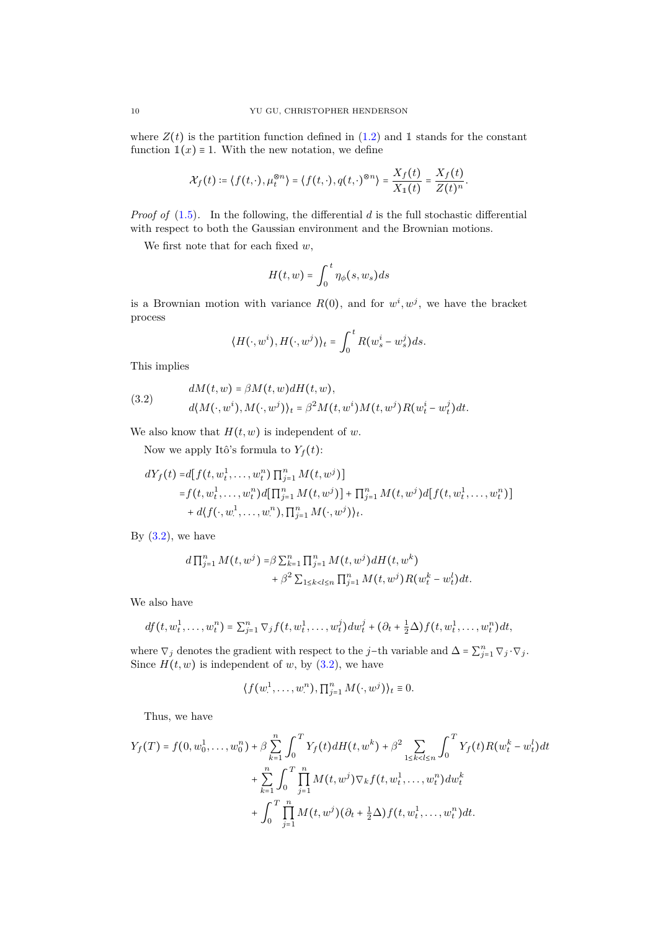where  $Z(t)$  is the partition function defined in  $(1.2)$  and 1 stands for the constant function  $\mathbb{1}(x) \equiv 1$ . With the new notation, we define

$$
\mathcal{X}_f(t) \coloneqq \langle f(t,\cdot), \mu_t^{\otimes n} \rangle = \langle f(t,\cdot), q(t,\cdot)^{\otimes n} \rangle = \frac{X_f(t)}{X_1(t)} = \frac{X_f(t)}{Z(t)^n}.
$$

*Proof of* [\(1.5\)](#page-2-5)*.* In the following, the differential *d* is the full stochastic differential with respect to both the Gaussian environment and the Brownian motions.

We first note that for each fixed *w*,

$$
H(t, w) = \int_0^t \eta_{\phi}(s, w_s) ds
$$

is a Brownian motion with variance  $R(0)$ , and for  $w^i, w^j$ , we have the bracket process

$$
\langle H(\cdot, w^i), H(\cdot, w^j) \rangle_t = \int_0^t R(w_s^i - w_s^j) ds.
$$

This implies

<span id="page-9-0"></span>(3.2) 
$$
dM(t, w) = \beta M(t, w) dH(t, w),
$$

$$
d\langle M(\cdot, w^i), M(\cdot, w^j) \rangle_t = \beta^2 M(t, w^i) M(t, w^j) R(w_t^i - w_t^j) dt.
$$

We also know that  $H(t, w)$  is independent of *w*.

Now we apply Itô's formula to  $Y_f(t)$ :

$$
dY_f(t) = d[f(t, w_t^1, \dots, w_t^n) \prod_{j=1}^n M(t, w^j)]
$$
  
=  $f(t, w_t^1, \dots, w_t^n) d[\prod_{j=1}^n M(t, w^j)] + \prod_{j=1}^n M(t, w^j) d[f(t, w_t^1, \dots, w_t^n)]$   
+  $d(f(\cdot, w_\cdot^1, \dots, w_\cdot^n), \prod_{j=1}^n M(\cdot, w^j))_t$ .

By  $(3.2)$ , we have

$$
d \prod_{j=1}^{n} M(t, w^{j}) = \beta \sum_{k=1}^{n} \prod_{j=1}^{n} M(t, w^{j}) dH(t, w^{k}) + \beta^{2} \sum_{1 \leq k < l \leq n} \prod_{j=1}^{n} M(t, w^{j}) R(w_{t}^{k} - w_{t}^{l}) dt.
$$

We also have

$$
df(t, w_t^1, \dots, w_t^n) = \sum_{j=1}^n \nabla_j f(t, w_t^1, \dots, w_t^j) dw_t^j + (\partial_t + \frac{1}{2} \Delta) f(t, w_t^1, \dots, w_t^n) dt,
$$

where  $\nabla_j$  denotes the gradient with respect to the *j*−th variable and  $\Delta = \sum_{j=1}^n \nabla_j \cdot \nabla_j$ . Since  $H(t, w)$  is independent of *w*, by [\(3.2\)](#page-9-0), we have

$$
\langle f(w_1^1,\ldots,w_i^n), \prod_{j=1}^n M(\cdot,w^j) \rangle_t \equiv 0.
$$

Thus, we have

$$
Y_f(T) = f(0, w_0^1, \dots, w_0^n) + \beta \sum_{k=1}^n \int_0^T Y_f(t) dH(t, w^k) + \beta^2 \sum_{1 \le k < l \le n} \int_0^T Y_f(t) R(w_t^k - w_t^l) dt
$$
  
+ 
$$
\sum_{k=1}^n \int_0^T \prod_{j=1}^n M(t, w^j) \nabla_k f(t, w_t^1, \dots, w_t^n) dw_t^k
$$
  
+ 
$$
\int_0^T \prod_{j=1}^n M(t, w^j) (\partial_t + \frac{1}{2} \Delta) f(t, w_t^1, \dots, w_t^n) dt.
$$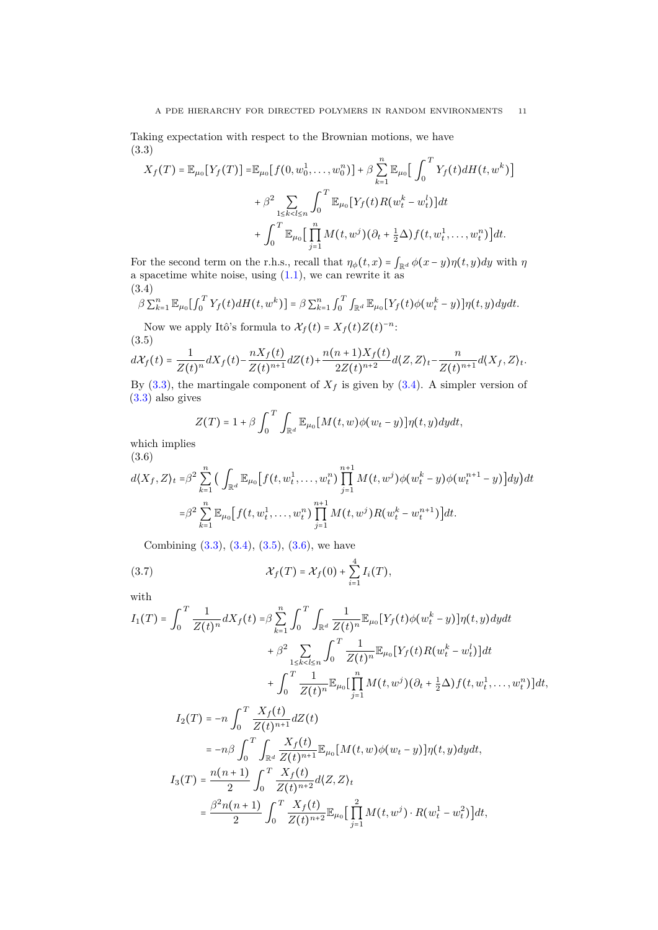Taking expectation with respect to the Brownian motions, we have (3.3)

<span id="page-10-0"></span>
$$
X_f(T) = \mathbb{E}_{\mu_0}[Y_f(T)] = \mathbb{E}_{\mu_0}[f(0, w_0^1, \dots, w_0^n)] + \beta \sum_{k=1}^n \mathbb{E}_{\mu_0} \Big[ \int_0^T Y_f(t) dH(t, w^k) \Big] + \beta^2 \sum_{1 \le k < l \le n} \int_0^T \mathbb{E}_{\mu_0}[Y_f(t) R(w_t^k - w_t^l)] dt + \int_0^T \mathbb{E}_{\mu_0} \Big[ \prod_{j=1}^n M(t, w^j) (\partial_t + \frac{1}{2} \Delta) f(t, w_t^1, \dots, w_t^n) \Big] dt.
$$

For the second term on the r.h.s., recall that  $\eta_{\phi}(t,x) = \int_{\mathbb{R}^d} \phi(x-y)\eta(t,y)dy$  with  $\eta$ a spacetime white noise, using  $(1.1)$ , we can rewrite it as (3.4)

<span id="page-10-1"></span>
$$
\beta \sum_{k=1}^n \mathbb{E}_{\mu_0} \left[ \int_0^T Y_f(t) dH(t, w^k) \right] = \beta \sum_{k=1}^n \int_0^T \int_{\mathbb{R}^d} \mathbb{E}_{\mu_0} \left[ Y_f(t) \phi(w_t^k - y) \right] \eta(t, y) dy dt.
$$

Now we apply Itô's formula to  $\mathcal{X}_f(t) = X_f(t)Z(t)^{-n}$ : (3.5)

<span id="page-10-2"></span>
$$
d\mathcal{X}_f(t) = \frac{1}{Z(t)^n} dX_f(t) - \frac{nX_f(t)}{Z(t)^{n+1}} dZ(t) + \frac{n(n+1)X_f(t)}{2Z(t)^{n+2}} d\langle Z,Z\rangle_t - \frac{n}{Z(t)^{n+1}} d\langle X_f,Z\rangle_t.
$$

By  $(3.3)$ , the martingale component of  $X_f$  is given by  $(3.4)$ . A simpler version of [\(3.3\)](#page-10-0) also gives

$$
Z(T) = 1 + \beta \int_0^T \int_{\mathbb{R}^d} \mathbb{E}_{\mu_0} [M(t, w) \phi(w_t - y)] \eta(t, y) dy dt,
$$

which implies (3.6)

<span id="page-10-3"></span>
$$
d\langle X_f, Z \rangle_t = \beta^2 \sum_{k=1}^n \Big( \int_{\mathbb{R}^d} \mathbb{E}_{\mu_0} \Big[ f(t, w_t^1, \dots, w_t^n) \prod_{j=1}^{n+1} M(t, w^j) \phi(w_t^k - y) \phi(w_t^{n+1} - y) \Big] dy \Big) dt
$$
  

$$
= \beta^2 \sum_{k=1}^n \mathbb{E}_{\mu_0} \Big[ f(t, w_t^1, \dots, w_t^n) \prod_{j=1}^{n+1} M(t, w^j) R(w_t^k - w_t^{n+1}) \Big] dt.
$$

<span id="page-10-4"></span>Combining  $(3.3), (3.4), (3.5), (3.6),$  $(3.3), (3.4), (3.5), (3.6),$  $(3.3), (3.4), (3.5), (3.6),$  $(3.3), (3.4), (3.5), (3.6),$  $(3.3), (3.4), (3.5), (3.6),$  $(3.3), (3.4), (3.5), (3.6),$  $(3.3), (3.4), (3.5), (3.6),$  $(3.3), (3.4), (3.5), (3.6),$  we have

(3.7) 
$$
\mathcal{X}_f(T) = \mathcal{X}_f(0) + \sum_{i=1}^4 I_i(T),
$$

with

$$
I_{1}(T) = \int_{0}^{T} \frac{1}{Z(t)^{n}} dX_{f}(t) = \beta \sum_{k=1}^{n} \int_{0}^{T} \int_{\mathbb{R}^{d}} \frac{1}{Z(t)^{n}} \mathbb{E}_{\mu_{0}}[Y_{f}(t)\phi(w_{t}^{k}-y)]\eta(t,y)dydt
$$
  
+  $\beta^{2} \sum_{1 \leq k < l \leq n} \int_{0}^{T} \frac{1}{Z(t)^{n}} \mathbb{E}_{\mu_{0}}[Y_{f}(t)R(w_{t}^{k}-w_{t}^{l})]dt$   
+  $\int_{0}^{T} \frac{1}{Z(t)^{n}} \mathbb{E}_{\mu_{0}}[\prod_{j=1}^{n} M(t, w^{j})(\partial_{t} + \frac{1}{2}\Delta)f(t, w_{t}^{1}, \dots, w_{t}^{n})]dt$ ,  

$$
I_{2}(T) = -n \int_{0}^{T} \frac{X_{f}(t)}{Z(t)^{n+1}} dZ(t)
$$

$$
= -n\beta \int_0^T \int_{\mathbb{R}^d} \frac{X_f(t)}{Z(t)^{n+1}} \mathbb{E}_{\mu_0} [M(t, w) \phi(w_t - y)] \eta(t, y) dy dt,
$$
  
\n
$$
I_3(T) = \frac{n(n+1)}{2} \int_0^T \frac{X_f(t)}{Z(t)^{n+2}} d\langle Z, Z \rangle_t
$$
  
\n
$$
= \frac{\beta^2 n(n+1)}{2} \int_0^T \frac{X_f(t)}{Z(t)^{n+2}} \mathbb{E}_{\mu_0} \Big[ \prod_{j=1}^2 M(t, w^j) \cdot R(w_t^1 - w_t^2) \Big] dt,
$$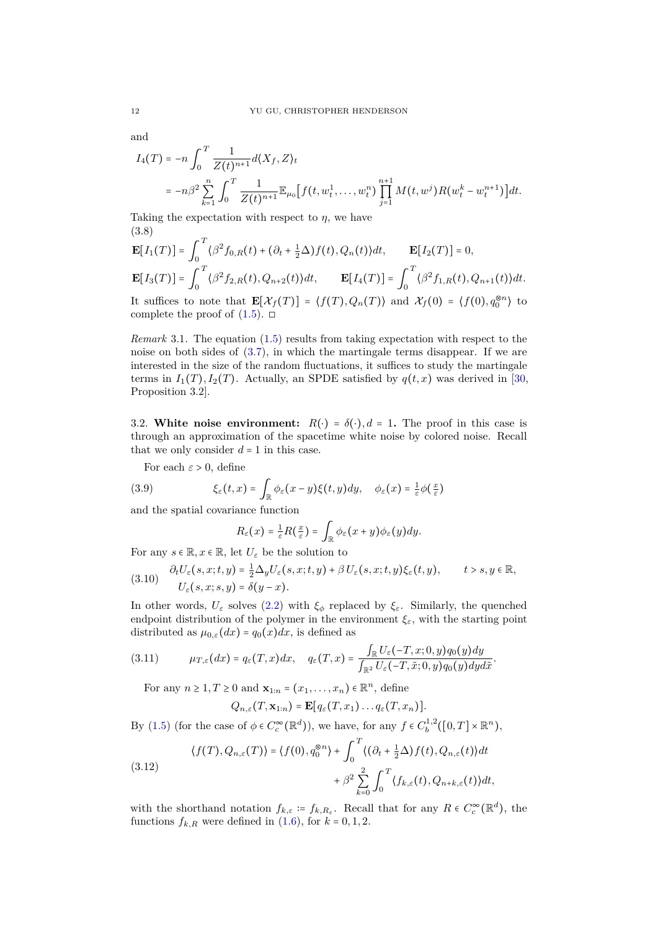and

$$
I_4(T) = -n \int_0^T \frac{1}{Z(t)^{n+1}} d\langle X_f, Z \rangle_t
$$
  
=  $-n\beta^2 \sum_{k=1}^n \int_0^T \frac{1}{Z(t)^{n+1}} \mathbb{E}_{\mu_0} \Big[ f(t, w_t^1, \dots, w_t^n) \prod_{j=1}^{n+1} M(t, w^j) R(w_t^k - w_t^{n+1}) \Big] dt.$ 

Taking the expectation with respect to  $\eta$ , we have (3.8)

$$
\mathbf{E}[I_1(T)] = \int_0^T \langle \beta^2 f_{0,R}(t) + (\partial_t + \frac{1}{2}\Delta) f(t), Q_n(t) \rangle dt, \qquad \mathbf{E}[I_2(T)] = 0,
$$
  

$$
\mathbf{E}[I_3(T)] = \int_0^T \langle \beta^2 f_{2,R}(t), Q_{n+2}(t) \rangle dt, \qquad \mathbf{E}[I_4(T)] = \int_0^T \langle \beta^2 f_{1,R}(t), Q_{n+1}(t) \rangle dt.
$$

It suffices to note that  $\mathbf{E}[\mathcal{X}_f(T)] = \langle f(T), Q_n(T) \rangle$  and  $\mathcal{X}_f(0) = \langle f(0), q_0^{\otimes n} \rangle$  to complete the proof of  $(1.5)$ .  $\Box$ 

<span id="page-11-0"></span>*Remark* 3.1*.* The equation [\(1.5\)](#page-2-5) results from taking expectation with respect to the noise on both sides of [\(3.7\)](#page-10-4), in which the martingale terms disappear. If we are interested in the size of the random fluctuations, it suffices to study the martingale terms in  $I_1(T), I_2(T)$ . Actually, an SPDE satisfied by  $q(t, x)$  was derived in [\[30,](#page-27-15) Proposition 3.2].

3.2. **White noise environment:**  $R(\cdot) = \delta(\cdot), d = 1$ . The proof in this case is through an approximation of the spacetime white noise by colored noise. Recall that we only consider  $d = 1$  in this case.

For each  $\varepsilon > 0$ , define

(3.9) 
$$
\xi_{\varepsilon}(t,x) = \int_{\mathbb{R}} \phi_{\varepsilon}(x-y)\xi(t,y)dy, \quad \phi_{\varepsilon}(x) = \frac{1}{\varepsilon}\phi(\frac{x}{\varepsilon})
$$

and the spatial covariance function

$$
R_{\varepsilon}(x)=\frac{1}{\varepsilon}R(\frac{x}{\varepsilon})=\int_{\mathbb{R}}\phi_{\varepsilon}(x+y)\phi_{\varepsilon}(y)dy.
$$

For any  $s \in \mathbb{R}, x \in \mathbb{R}$ , let  $U_{\varepsilon}$  be the solution to

<span id="page-11-2"></span>
$$
(3.10) \quad \begin{aligned} \partial_t U_{\varepsilon}(s,x;t,y) &= \frac{1}{2} \Delta_y U_{\varepsilon}(s,x;t,y) + \beta \, U_{\varepsilon}(s,x;t,y) \xi_{\varepsilon}(t,y), & t > s, y \in \mathbb{R}, \\ U_{\varepsilon}(s,x;s,y) &= \delta(y-x). \end{aligned}
$$

In other words,  $U_{\varepsilon}$  solves [\(2.2\)](#page-8-2) with  $\xi_{\phi}$  replaced by  $\xi_{\varepsilon}$ . Similarly, the quenched endpoint distribution of the polymer in the environment  $\xi_{\varepsilon}$ , with the starting point distributed as  $\mu_{0,\varepsilon}(dx) = q_0(x)dx$ , is defined as

$$
(3.11) \qquad \mu_{T,\varepsilon}(dx) = q_{\varepsilon}(T,x)dx, \quad q_{\varepsilon}(T,x) = \frac{\int_{\mathbb{R}}U_{\varepsilon}(-T,x;0,y)q_0(y)dy}{\int_{\mathbb{R}^2}U_{\varepsilon}(-T,\tilde{x};0,y)q_0(y)dyd\tilde{x}}.
$$

For any  $n \geq 1, T \geq 0$  and  $\mathbf{x}_{1:n} = (x_1, \ldots, x_n) \in \mathbb{R}^n$ , define

$$
Q_{n,\varepsilon}(T,\mathbf{x}_{1:n})=\mathbf{E}[q_{\varepsilon}(T,x_1)\ldots q_{\varepsilon}(T,x_n)].
$$

By [\(1.5\)](#page-2-5) (for the case of  $\phi \in C_c^{\infty}(\mathbb{R}^d)$ ), we have, for any  $f \in C_b^{1,2}([0,T] \times \mathbb{R}^n)$ ,

<span id="page-11-1"></span>(3.12) 
$$
\langle f(T), Q_{n,\varepsilon}(T) \rangle = \langle f(0), q_0^{\otimes n} \rangle + \int_0^T \langle (\partial_t + \frac{1}{2} \Delta) f(t), Q_{n,\varepsilon}(t) \rangle dt + \beta^2 \sum_{k=0}^2 \int_0^T \langle f_{k,\varepsilon}(t), Q_{n+k,\varepsilon}(t) \rangle dt,
$$

with the shorthand notation  $f_{k,\varepsilon} \coloneqq f_{k,R_{\varepsilon}}$ . Recall that for any  $R \in C_c^{\infty}(\mathbb{R}^d)$ , the functions  $f_{k,R}$  were defined in [\(1.6\)](#page-2-6), for  $k = 0, 1, 2$ .

<span id="page-11-3"></span>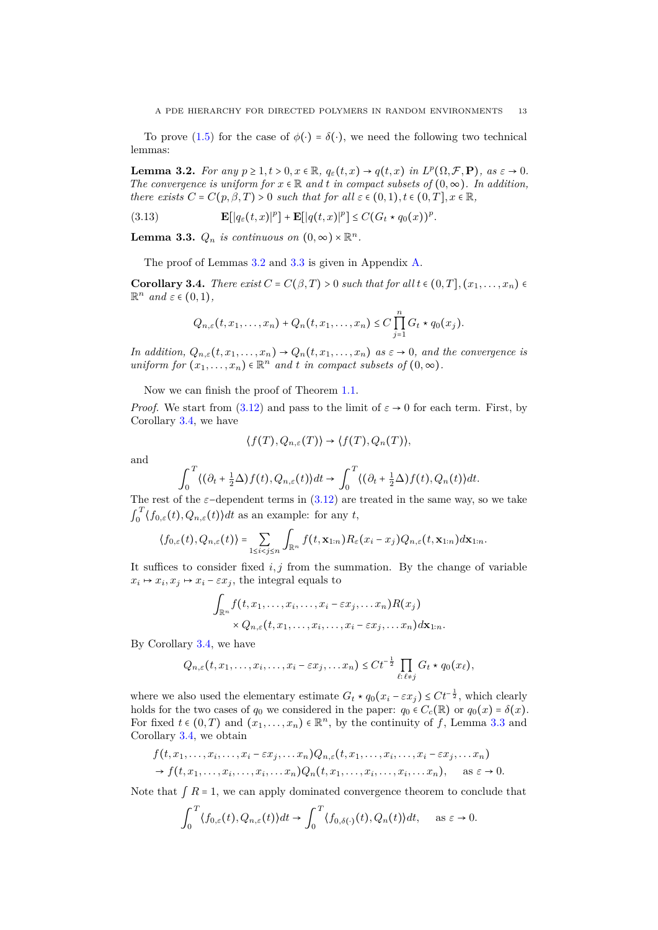To prove [\(1.5\)](#page-2-5) for the case of  $\phi(\cdot) = \delta(\cdot)$ , we need the following two technical lemmas:

<span id="page-12-0"></span>**Lemma 3.2.** For any  $p \ge 1, t > 0, x \in \mathbb{R}$ ,  $q_{\varepsilon}(t,x) \to q(t,x)$  in  $L^p(\Omega, \mathcal{F}, \mathbf{P})$ , as  $\varepsilon \to 0$ . *The convergence is uniform for*  $x \in \mathbb{R}$  *and*  $t$  *in compact subsets of*  $(0, \infty)$ *. In addition, there exists*  $C = C(p, \beta, T) > 0$  *such that for all*  $\varepsilon \in (0, 1), t \in (0, T], x \in \mathbb{R}$ ,

<span id="page-12-3"></span>(3.13) 
$$
\mathbf{E}[|q_{\varepsilon}(t,x)|^{p}] + \mathbf{E}[|q(t,x)|^{p}] \leq C(G_t * q_0(x))^{p}.
$$

<span id="page-12-1"></span>**Lemma 3.3.**  $Q_n$  *is continuous on*  $(0, \infty) \times \mathbb{R}^n$ .

The proof of Lemmas [3.2](#page-12-0) and [3.3](#page-12-1) is given in Appendix [A.](#page-22-1)

<span id="page-12-2"></span>**Corollary 3.4.** *There exist*  $C = C(\beta, T) > 0$  *such that for all*  $t \in (0, T]$ ,  $(x_1, \ldots, x_n) \in$  $\mathbb{R}^n$  *and*  $\varepsilon \in (0,1)$ *,* 

$$
Q_{n,\varepsilon}(t,x_1,\ldots,x_n)+Q_n(t,x_1,\ldots,x_n)\leq C\prod_{j=1}^n G_t\star q_0(x_j).
$$

*In addition,*  $Q_{n,\varepsilon}(t,x_1,\ldots,x_n) \to Q_n(t,x_1,\ldots,x_n)$  *as*  $\varepsilon \to 0$ *, and the convergence is uniform for*  $(x_1, \ldots, x_n) \in \mathbb{R}^n$  *and t in compact subsets of*  $(0, \infty)$ *.* 

Now we can finish the proof of Theorem [1.1.](#page-2-0)

*Proof.* We start from [\(3.12\)](#page-11-1) and pass to the limit of  $\varepsilon \to 0$  for each term. First, by Corollary [3.4,](#page-12-2) we have

$$
\langle f(T), Q_{n,\varepsilon}(T) \rangle \to \langle f(T), Q_n(T) \rangle,
$$

and

$$
\int_0^T \langle (\partial_t + \frac{1}{2}\Delta) f(t), Q_{n,\varepsilon}(t) \rangle dt \to \int_0^T \langle (\partial_t + \frac{1}{2}\Delta) f(t), Q_n(t) \rangle dt.
$$

The rest of the  $\varepsilon$ −dependent terms in [\(3.12\)](#page-11-1) are treated in the same way, so we take  $\int_0^T$  $\int_0^1 \langle f_{0,\varepsilon}(t), Q_{n,\varepsilon}(t) \rangle dt$  as an example: for any *t*,

$$
\langle f_{0,\varepsilon}(t), Q_{n,\varepsilon}(t)\rangle = \sum_{1\leq i
$$

It suffices to consider fixed  $i, j$  from the summation. By the change of variable  $x_i \mapsto x_i, x_j \mapsto x_i - \varepsilon x_j$ , the integral equals to

$$
\int_{\mathbb{R}^n} f(t, x_1, \dots, x_i, \dots, x_i - \varepsilon x_j, \dots x_n) R(x_j)
$$

$$
\times Q_{n,\varepsilon}(t, x_1, \dots, x_i, \dots, x_i - \varepsilon x_j, \dots x_n) d\mathbf{x}_{1:n}.
$$

By Corollary [3.4,](#page-12-2) we have

$$
Q_{n,\varepsilon}(t,x_1,\ldots,x_i,\ldots,x_i-\varepsilon x_j,\ldots x_n)\leq Ct^{-\frac{1}{2}}\prod_{\ell:\ell\neq j}G_\ell\star q_0(x_\ell),
$$

where we also used the elementary estimate  $G_t * q_0(x_i - \varepsilon x_j) \leq Ct^{-\frac{1}{2}}$ , which clearly holds for the two cases of  $q_0$  we considered in the paper:  $q_0 \in C_c(\mathbb{R})$  or  $q_0(x) = \delta(x)$ . For fixed  $t \in (0,T)$  and  $(x_1,\ldots,x_n) \in \mathbb{R}^n$ , by the continuity of f, Lemma [3.3](#page-12-1) and Corollary [3.4,](#page-12-2) we obtain

$$
f(t, x_1, \ldots, x_i, \ldots, x_i - \varepsilon x_j, \ldots x_n) Q_{n,\varepsilon}(t, x_1, \ldots, x_i, \ldots, x_i - \varepsilon x_j, \ldots x_n)
$$
  
\n
$$
\rightarrow f(t, x_1, \ldots, x_i, \ldots, x_i, \ldots, x_n) Q_n(t, x_1, \ldots, x_i, \ldots, x_i, \ldots, x_n), \quad \text{as } \varepsilon \rightarrow 0.
$$

Note that  $\int R = 1$ , we can apply dominated convergence theorem to conclude that

$$
\int_0^T \langle f_{0,\varepsilon}(t), Q_{n,\varepsilon}(t) \rangle dt \to \int_0^T \langle f_{0,\delta(\cdot)}(t), Q_n(t) \rangle dt, \quad \text{as } \varepsilon \to 0.
$$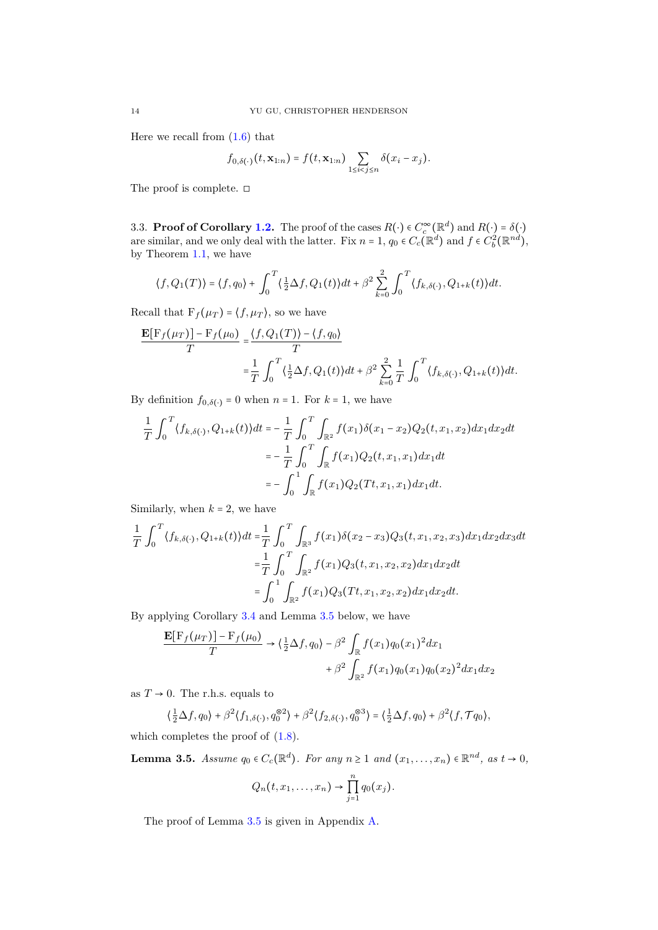Here we recall from  $(1.6)$  that

$$
f_{0,\delta(\cdot)}(t,\mathbf{x}_{1:n})=f(t,\mathbf{x}_{1:n})\sum_{1\leq i
$$

The proof is complete.  $\Box$ 

3.3. **Proof of Corollary [1.2.](#page-2-3)** The proof of the cases  $R(\cdot) \in C_c^{\infty}(\mathbb{R}^d)$  and  $R(\cdot) = \delta(\cdot)$ are similar, and we only deal with the latter. Fix  $n = 1$ ,  $q_0 \in C_c(\mathbb{R}^d)$  and  $f \in C_b^2(\mathbb{R}^{nd})$ , by Theorem [1.1,](#page-2-0) we have

$$
\langle f, Q_1(T) \rangle = \langle f, q_0 \rangle + \int_0^T \langle \frac{1}{2} \Delta f, Q_1(t) \rangle dt + \beta^2 \sum_{k=0}^2 \int_0^T \langle f_{k, \delta(\cdot)}, Q_{1+k}(t) \rangle dt.
$$

Recall that  $F_f(\mu_T) = \langle f, \mu_T \rangle$ , so we have

$$
\frac{\mathbf{E}[F_f(\mu_T)] - F_f(\mu_0)}{T} = \frac{\langle f, Q_1(T) \rangle - \langle f, q_0 \rangle}{T}
$$

$$
= \frac{1}{T} \int_0^T \langle \frac{1}{2} \Delta f, Q_1(t) \rangle dt + \beta^2 \sum_{k=0}^2 \frac{1}{T} \int_0^T \langle f_{k, \delta(\cdot)}, Q_{1+k}(t) \rangle dt.
$$

By definition  $f_{0,\delta(\cdot)} = 0$  when  $n = 1$ . For  $k = 1$ , we have

$$
\frac{1}{T} \int_0^T \langle f_{k,\delta(\cdot)}, Q_{1+k}(t) \rangle dt = -\frac{1}{T} \int_0^T \int_{\mathbb{R}^2} f(x_1) \delta(x_1 - x_2) Q_2(t, x_1, x_2) dx_1 dx_2 dt
$$

$$
= -\frac{1}{T} \int_0^T \int_{\mathbb{R}} f(x_1) Q_2(t, x_1, x_1) dx_1 dt
$$

$$
= -\int_0^1 \int_{\mathbb{R}} f(x_1) Q_2(Tt, x_1, x_1) dx_1 dt.
$$

Similarly, when  $k = 2$ , we have

$$
\frac{1}{T} \int_0^T \langle f_{k,\delta(\cdot)}, Q_{1+k}(t) \rangle dt = \frac{1}{T} \int_0^T \int_{\mathbb{R}^3} f(x_1) \delta(x_2 - x_3) Q_3(t, x_1, x_2, x_3) dx_1 dx_2 dx_3 dt
$$

$$
= \frac{1}{T} \int_0^T \int_{\mathbb{R}^2} f(x_1) Q_3(t, x_1, x_2, x_2) dx_1 dx_2 dt
$$

$$
= \int_0^1 \int_{\mathbb{R}^2} f(x_1) Q_3(Tt, x_1, x_2, x_2) dx_1 dx_2 dt.
$$

By applying Corollary [3.4](#page-12-2) and Lemma [3.5](#page-13-0) below, we have

$$
\frac{\mathbf{E}[F_f(\mu_T)] - F_f(\mu_0)}{T} \to \left(\frac{1}{2}\Delta f, q_0\right) - \beta^2 \int_{\mathbb{R}} f(x_1) q_0(x_1)^2 dx_1
$$

$$
+ \beta^2 \int_{\mathbb{R}^2} f(x_1) q_0(x_1) q_0(x_2)^2 dx_1 dx_2
$$

as  $T \rightarrow 0$ . The r.h.s. equals to

$$
\left\langle \frac{1}{2}\Delta f, q_0 \right\rangle + \beta^2 \langle f_{1,\delta(\cdot)}, q_0^{\otimes 2} \rangle + \beta^2 \langle f_{2,\delta(\cdot)}, q_0^{\otimes 3} \rangle = \left\langle \frac{1}{2}\Delta f, q_0 \right\rangle + \beta^2 \langle f, \mathcal{T} q_0 \rangle,
$$

which completes the proof of  $(1.8)$ .

<span id="page-13-0"></span>**Lemma 3.5.** *Assume*  $q_0 \in C_c(\mathbb{R}^d)$ *. For any*  $n \ge 1$  *and*  $(x_1, \ldots, x_n) \in \mathbb{R}^{nd}$ *, as*  $t \to 0$ *,* 

$$
Q_n(t,x_1,\ldots,x_n)\to \prod_{j=1}^n q_0(x_j).
$$

The proof of Lemma [3.5](#page-13-0) is given in Appendix [A.](#page-22-1)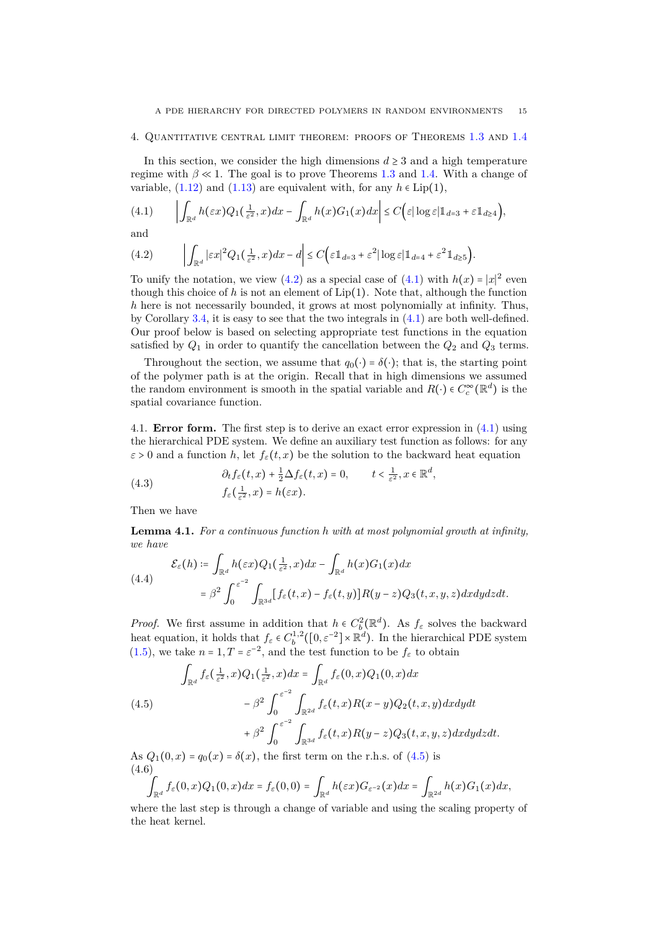#### <span id="page-14-0"></span>4. Quantitative central limit theorem: proofs of Theorems [1.3](#page-3-1) and [1.4](#page-3-2)

In this section, we consider the high dimensions  $d \geq 3$  and a high temperature regime with  $\beta \ll 1$ . The goal is to prove Theorems [1.3](#page-3-1) and [1.4.](#page-3-2) With a change of variable,  $(1.12)$  and  $(1.13)$  are equivalent with, for any  $h \in Lip(1)$ ,

<span id="page-14-2"></span>
$$
(4.1) \qquad \left| \int_{\mathbb{R}^d} h(\varepsilon x) Q_1(\tfrac{1}{\varepsilon^2}, x) dx - \int_{\mathbb{R}^d} h(x) G_1(x) dx \right| \le C \Big( \varepsilon |\log \varepsilon| \mathbb{1}_{d=3} + \varepsilon \mathbb{1}_{d\ge 4} \Big),
$$

and

<span id="page-14-1"></span>(4.2) 
$$
\left| \int_{\mathbb{R}^d} |\varepsilon x|^2 Q_1(\tfrac{1}{\varepsilon^2}, x) dx - d \right| \leq C \left( \varepsilon \mathbb{1}_{d=3} + \varepsilon^2 |\log \varepsilon| \mathbb{1}_{d=4} + \varepsilon^2 \mathbb{1}_{d \geq 5} \right).
$$

To unify the notation, we view  $(4.2)$  as a special case of  $(4.1)$  with  $h(x) = |x|^2$  even though this choice of h is not an element of  $Lip(1)$ . Note that, although the function *h* here is not necessarily bounded, it grows at most polynomially at infinity. Thus, by Corollary [3.4,](#page-12-2) it is easy to see that the two integrals in  $(4.1)$  are both well-defined. Our proof below is based on selecting appropriate test functions in the equation satisfied by  $Q_1$  in order to quantify the cancellation between the  $Q_2$  and  $Q_3$  terms.

Throughout the section, we assume that  $q_0(\cdot) = \delta(\cdot)$ ; that is, the starting point of the polymer path is at the origin. Recall that in high dimensions we assumed the random environment is smooth in the spatial variable and  $R(\cdot) \in C_c^{\infty}(\mathbb{R}^d)$  is the spatial covariance function.

4.1. **Error form.** The first step is to derive an exact error expression in [\(4.1\)](#page-14-2) using the hierarchical PDE system. We define an auxiliary test function as follows: for any  $\varepsilon > 0$  and a function *h*, let  $f_{\varepsilon}(t, x)$  be the solution to the backward heat equation

(4.3) 
$$
\partial_t f_{\varepsilon}(t,x) + \frac{1}{2} \Delta f_{\varepsilon}(t,x) = 0, \qquad t < \frac{1}{\varepsilon^2}, x \in \mathbb{R}^d,
$$

$$
f_{\varepsilon}(\frac{1}{\varepsilon^2}, x) = h(\varepsilon x).
$$

<span id="page-14-6"></span>Then we have

**Lemma 4.1.** *For a continuous function h with at most polynomial growth at infinity, we have*

<span id="page-14-4"></span>(4.4)  

$$
\mathcal{E}_{\varepsilon}(h) \coloneqq \int_{\mathbb{R}^d} h(\varepsilon x) Q_1(\frac{1}{\varepsilon^2}, x) dx - \int_{\mathbb{R}^d} h(x) G_1(x) dx
$$

$$
= \beta^2 \int_0^{\varepsilon^{-2}} \int_{\mathbb{R}^{3d}} [f_{\varepsilon}(t, x) - f_{\varepsilon}(t, y)] R(y - z) Q_3(t, x, y, z) dx dy dz dt.
$$

*Proof.* We first assume in addition that  $h \in C_b^2(\mathbb{R}^d)$ . As  $f_\varepsilon$  solves the backward heat equation, it holds that  $f_{\varepsilon} \in C_b^{1,2}([0, \varepsilon^{-2}] \times \mathbb{R}^d)$ . In the hierarchical PDE system [\(1.5\)](#page-2-5), we take  $n = 1, T = \varepsilon^{-2}$ , and the test function to be  $f_{\varepsilon}$  to obtain

<span id="page-14-3"></span>(4.5)  

$$
\int_{\mathbb{R}^d} f_{\varepsilon}(\frac{1}{\varepsilon^2}, x) Q_1(\frac{1}{\varepsilon^2}, x) dx = \int_{\mathbb{R}^d} f_{\varepsilon}(0, x) Q_1(0, x) dx
$$

$$
- \beta^2 \int_0^{\varepsilon^{-2}} \int_{\mathbb{R}^{2d}} f_{\varepsilon}(t, x) R(x - y) Q_2(t, x, y) dx dy dt
$$

$$
+ \beta^2 \int_0^{\varepsilon^{-2}} \int_{\mathbb{R}^{3d}} f_{\varepsilon}(t, x) R(y - z) Q_3(t, x, y, z) dx dy dz dt.
$$

As  $Q_1(0, x) = q_0(x) = \delta(x)$ , the first term on the r.h.s. of [\(4.5\)](#page-14-3) is (4.6)

<span id="page-14-5"></span>
$$
\int_{\mathbb{R}^d} f_{\varepsilon}(0,x) Q_1(0,x) dx = f_{\varepsilon}(0,0) = \int_{\mathbb{R}^d} h(\varepsilon x) G_{\varepsilon^{-2}}(x) dx = \int_{\mathbb{R}^{2d}} h(x) G_1(x) dx,
$$

where the last step is through a change of variable and using the scaling property of the heat kernel.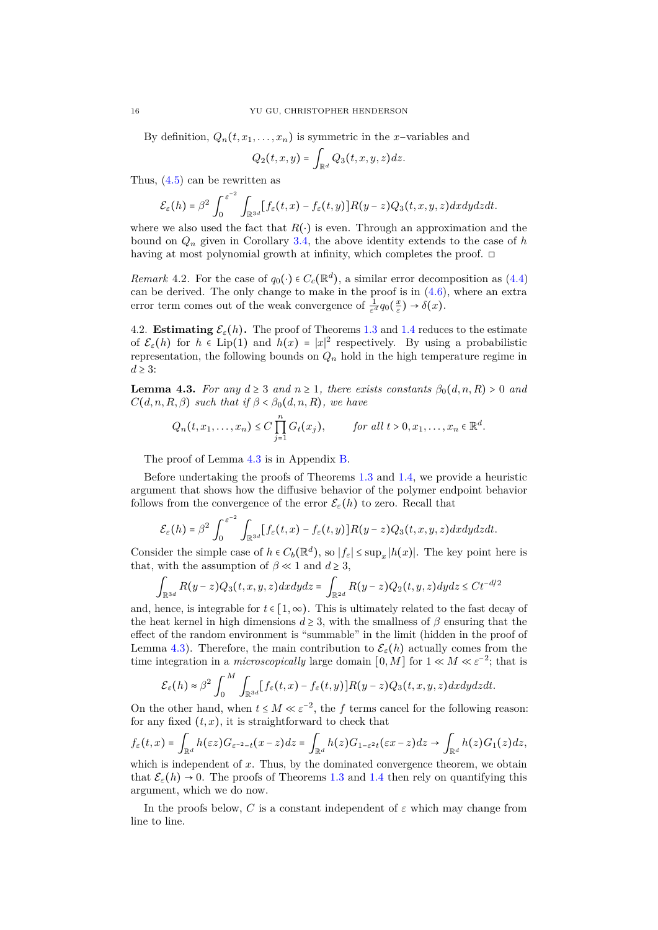By definition,  $Q_n(t, x_1, \ldots, x_n)$  is symmetric in the *x*−variables and

$$
Q_2(t,x,y) = \int_{\mathbb{R}^d} Q_3(t,x,y,z) dz.
$$

Thus, [\(4.5\)](#page-14-3) can be rewritten as

$$
\mathcal{E}_{\varepsilon}(h)=\beta^2\int_0^{\varepsilon^{-2}}\int_{\mathbb{R}^{3d}}[f_{\varepsilon}(t,x)-f_{\varepsilon}(t,y)]R(y-z)Q_3(t,x,y,z)dxdydzdt.
$$

where we also used the fact that  $R(\cdot)$  is even. Through an approximation and the bound on *Q<sup>n</sup>* given in Corollary [3.4,](#page-12-2) the above identity extends to the case of *h* having at most polynomial growth at infinity, which completes the proof. □

*Remark* 4.2. For the case of  $q_0(\cdot) \in C_c(\mathbb{R}^d)$ , a similar error decomposition as [\(4.4\)](#page-14-4) can be derived. The only change to make in the proof is in [\(4.6\)](#page-14-5), where an extra error term comes out of the weak convergence of  $\frac{1}{\varepsilon^d}q_0(\frac{x}{\varepsilon}) \to \delta(x)$ .

4.2. **Estimating**  $\mathcal{E}_{\varepsilon}(h)$ . The proof of Theorems [1.3](#page-3-1) and [1.4](#page-3-2) reduces to the estimate of  $\mathcal{E}_{\varepsilon}(h)$  for  $h \in \text{Lip}(1)$  and  $h(x) = |x|^2$  respectively. By using a probabilistic representation, the following bounds on  $Q_n$  hold in the high temperature regime in  $d \geq 3$ :

<span id="page-15-0"></span>**Lemma 4.3.** *For any*  $d \geq 3$  *and*  $n \geq 1$ *, there exists constants*  $\beta_0(d, n, R) > 0$  *and*  $C(d, n, R, \beta)$  *such that if*  $\beta < \beta_0(d, n, R)$ *, we have* 

$$
Q_n(t, x_1, \ldots, x_n) \le C \prod_{j=1}^n G_t(x_j), \qquad \text{for all } t > 0, x_1, \ldots, x_n \in \mathbb{R}^d.
$$

The proof of Lemma [4.3](#page-15-0) is in Appendix [B.](#page-24-0)

Before undertaking the proofs of Theorems [1.3](#page-3-1) and [1.4,](#page-3-2) we provide a heuristic argument that shows how the diffusive behavior of the polymer endpoint behavior follows from the convergence of the error  $\mathcal{E}_{\varepsilon}(h)$  to zero. Recall that

$$
\mathcal{E}_{\varepsilon}(h) = \beta^2 \int_0^{\varepsilon^{-2}} \int_{\mathbb{R}^{3d}} [f_{\varepsilon}(t,x) - f_{\varepsilon}(t,y)] R(y-z) Q_3(t,x,y,z) dx dy dz dt.
$$

Consider the simple case of  $h \in C_b(\mathbb{R}^d)$ , so  $|f_{\varepsilon}| \leq \sup_x |h(x)|$ . The key point here is that, with the assumption of  $\beta \ll 1$  and  $d \geq 3$ ,

$$
\int_{\mathbb{R}^{3d}} R(y-z)Q_3(t,x,y,z)dxdydz = \int_{\mathbb{R}^{2d}} R(y-z)Q_2(t,y,z)dydz \le Ct^{-d/2}
$$

and, hence, is integrable for  $t \in [1, \infty)$ . This is ultimately related to the fast decay of the heat kernel in high dimensions  $d \geq 3$ , with the smallness of  $\beta$  ensuring that the effect of the random environment is "summable" in the limit (hidden in the proof of Lemma [4.3\)](#page-15-0). Therefore, the main contribution to  $\mathcal{E}_{\varepsilon}(h)$  actually comes from the time integration in a *microscopically* large domain  $[0, M]$  for  $1 \ll M \ll \varepsilon^{-2}$ ; that is

$$
\mathcal{E}_{\varepsilon}(h) \approx \beta^2 \int_0^M \int_{\mathbb{R}^{3d}} [f_{\varepsilon}(t,x) - f_{\varepsilon}(t,y)] R(y-z) Q_3(t,x,y,z) dx dy dz dt.
$$

On the other hand, when  $t \leq M \ll \varepsilon^{-2}$ , the *f* terms cancel for the following reason: for any fixed  $(t, x)$ , it is straightforward to check that

$$
f_{\varepsilon}(t,x)=\int_{\mathbb{R}^d}h(\varepsilon z)G_{\varepsilon^{-2}-t}(x-z)dz=\int_{\mathbb{R}^d}h(z)G_{1-\varepsilon^2t}(\varepsilon x-z)dz\to\int_{\mathbb{R}^d}h(z)G_1(z)dz,
$$

which is independent of x. Thus, by the dominated convergence theorem, we obtain that  $\mathcal{E}_{\varepsilon}(h) \to 0$ . The proofs of Theorems [1.3](#page-3-1) and [1.4](#page-3-2) then rely on quantifying this argument, which we do now.

In the proofs below, *C* is a constant independent of  $\varepsilon$  which may change from line to line.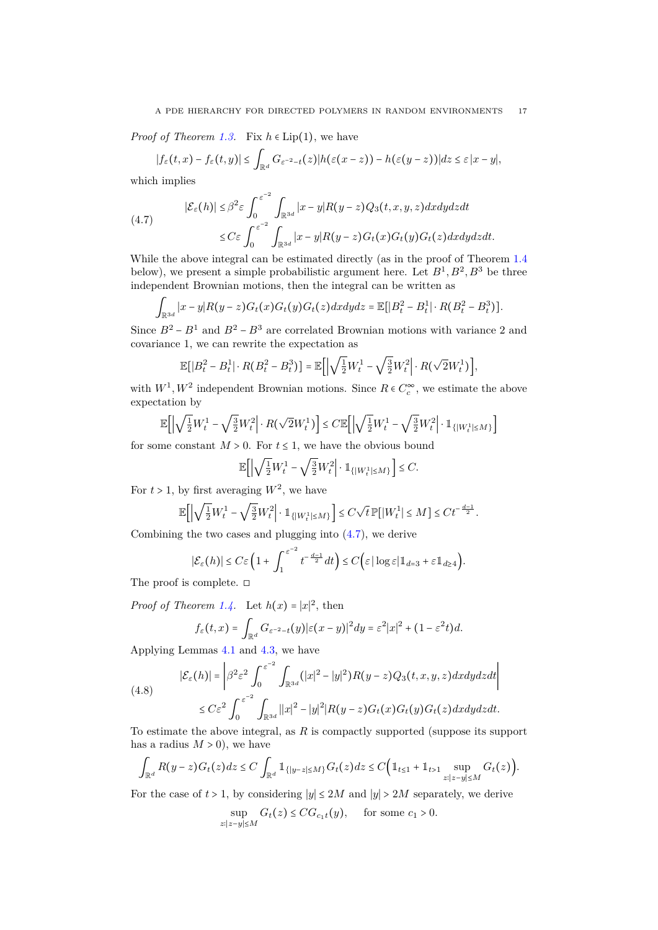*Proof of Theorem [1.3.](#page-3-1)* Fix  $h \in Lip(1)$ , we have

$$
|f_{\varepsilon}(t,x)-f_{\varepsilon}(t,y)|\leq \int_{\mathbb{R}^d}G_{\varepsilon^{-2}-t}(z)|h(\varepsilon(x-z))-h(\varepsilon(y-z))|dz\leq \varepsilon |x-y|,
$$

which implies

<span id="page-16-0"></span>(4.7) 
$$
|\mathcal{E}_{\varepsilon}(h)| \leq \beta^2 \varepsilon \int_0^{\varepsilon^{-2}} \int_{\mathbb{R}^{3d}} |x - y| R(y - z) Q_3(t, x, y, z) dx dy dz dt
$$
  

$$
\leq C \varepsilon \int_0^{\varepsilon^{-2}} \int_{\mathbb{R}^{3d}} |x - y| R(y - z) G_t(x) G_t(y) G_t(z) dx dy dz dt.
$$

While the above integral can be estimated directly (as in the proof of Theorem [1.4](#page-3-2) below), we present a simple probabilistic argument here. Let  $B^1, B^2, B^3$  be three independent Brownian motions, then the integral can be written as

$$
\int_{\mathbb{R}^{3d}} |x-y| R(y-z) G_t(x) G_t(y) G_t(z) dxdydz = \mathbb{E}[|B_t^2 - B_t^1| \cdot R(B_t^2 - B_t^3)].
$$

Since  $B^2 - B^1$  and  $B^2 - B^3$  are correlated Brownian motions with variance 2 and covariance 1, we can rewrite the expectation as

$$
\mathbb{E}\big[ \big| B_t^2 - B_t^1 \big| \cdot R \big( B_t^2 - B_t^3 \big) \big] = \mathbb{E}\bigg[ \big| \sqrt{\tfrac{1}{2}} W_t^1 - \sqrt{\tfrac{3}{2}} W_t^2 \bigg| \cdot R \big( \sqrt{2} W_t^1 \big) \bigg],
$$

with  $W^1, W^2$  independent Brownian motions. Since  $R \in C_c^{\infty}$ , we estimate the above expectation by

$$
\mathbb{E}\Big[\Big|\sqrt{\tfrac{1}{2}}W_t^1-\sqrt{\tfrac{3}{2}}W_t^2\Big|\cdot R\big(\sqrt{2}W_t^1\big)\Big]\leq C\mathbb{E}\Big[\Big|\sqrt{\tfrac{1}{2}}W_t^1-\sqrt{\tfrac{3}{2}}W_t^2\Big|\cdot \mathbbm{1}_{\{|W_t^1|\leq M\}}\Big]
$$

for some constant  $M > 0$ . For  $t \leq 1$ , we have the obvious bound

$$
\mathbb{E}\Big[\Big|\sqrt{\tfrac{1}{2}}W_t^1-\sqrt{\tfrac{3}{2}}W_t^2\Big|\cdot \mathbbm{1}_{\{|W_t^1|\leq M\}}\Big]\leq C.
$$

For  $t > 1$ , by first averaging  $W^2$ , we have

$$
\mathbb{E}\Big[\Big|\sqrt{\tfrac{1}{2}}W_t^1-\sqrt{\tfrac{3}{2}}W_t^2\Big|\cdot\mathbb{1}_{\{|W_t^1|\leq M\}}\Big]\leq C\sqrt{t}\,\mathbb{P}\big[\big|W_t^1\big|\leq M\big]\leq Ct^{-\frac{d-1}{2}}.
$$

Combining the two cases and plugging into [\(4.7\)](#page-16-0), we derive

$$
|\mathcal{E}_{\varepsilon}(h)| \leq C \varepsilon \left(1 + \int_{1}^{\varepsilon^{-2}} t^{-\frac{d-1}{2}} dt\right) \leq C \Big( \varepsilon |\log \varepsilon| \mathbb{1}_{d=3} + \varepsilon \mathbb{1}_{d \geq 4} \Big).
$$

The proof is complete. ◻

*Proof of Theorem [1.4.](#page-3-2)* Let  $h(x) = |x|^2$ , then

$$
f_{\varepsilon}(t,x) = \int_{\mathbb{R}^d} G_{\varepsilon^{-2}-t}(y) |\varepsilon(x-y)|^2 dy = \varepsilon^2 |x|^2 + (1-\varepsilon^2 t) d.
$$

Applying Lemmas [4.1](#page-14-6) and [4.3,](#page-15-0) we have

<span id="page-16-1"></span>(4.8)  
\n
$$
|\mathcal{E}_{\varepsilon}(h)| = \left| \beta^2 \varepsilon^2 \int_0^{\varepsilon^{-2}} \int_{\mathbb{R}^{3d}} (|x|^2 - |y|^2) R(y - z) Q_3(t, x, y, z) dx dy dz dt \right|
$$
\n
$$
\leq C \varepsilon^2 \int_0^{\varepsilon^{-2}} \int_{\mathbb{R}^{3d}} |x|^2 - |y|^2 |R(y - z) G_t(x) G_t(y) G_t(z) dx dy dz dt.
$$

To estimate the above integral, as *R* is compactly supported (suppose its support has a radius  $M > 0$ , we have

$$
\int_{\mathbb{R}^d} R(y-z)G_t(z)dz \leq C \int_{\mathbb{R}^d} \mathbb{1}_{\{|y-z| \leq M\}} G_t(z)dz \leq C \Big( \mathbb{1}_{t \leq 1} + \mathbb{1}_{t > 1} \sup_{z:|z-y| \leq M} G_t(z) \Big).
$$

For the case of  $t > 1$ , by considering  $|y| \leq 2M$  and  $|y| > 2M$  separately, we derive

$$
\sup_{z:|z-y|\leq M} G_t(z) \leq C G_{c_1t}(y), \quad \text{ for some } c_1 > 0.
$$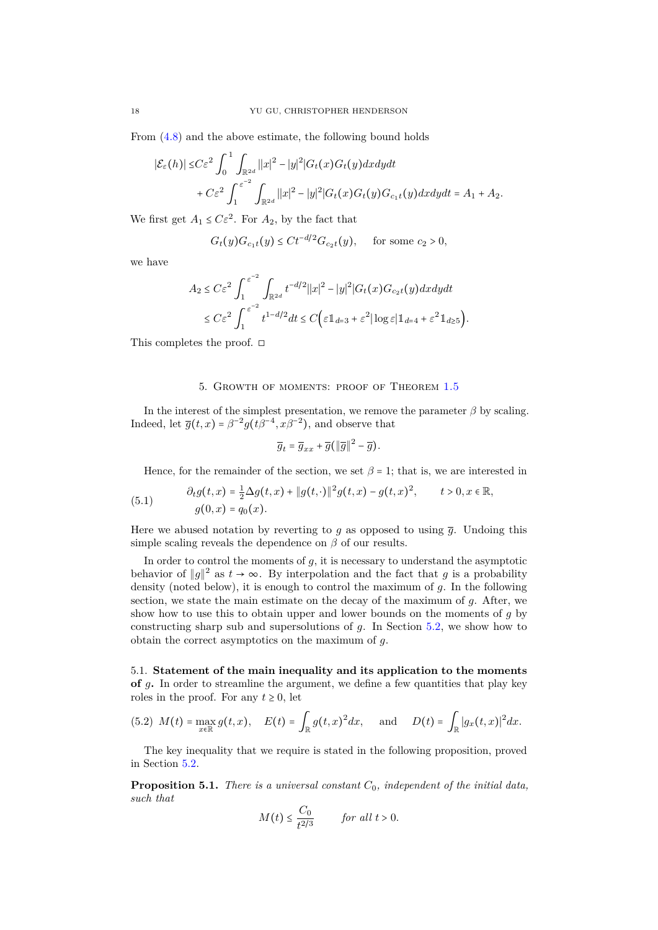From [\(4.8\)](#page-16-1) and the above estimate, the following bound holds

$$
|\mathcal{E}_{\varepsilon}(h)| \leq C\varepsilon^{2} \int_{0}^{1} \int_{\mathbb{R}^{2d}} |x|^{2} - |y|^{2} |G_{t}(x)G_{t}(y) dx dy dt
$$
  
+ 
$$
C\varepsilon^{2} \int_{1}^{\varepsilon^{-2}} \int_{\mathbb{R}^{2d}} |x|^{2} - |y|^{2} |G_{t}(x)G_{t}(y)G_{c_{1}t}(y) dx dy dt = A_{1} + A_{2}.
$$

We first get  $A_1 \leq C \varepsilon^2$ . For  $A_2$ , by the fact that

$$
G_t(y)G_{c_1t}(y) \le Ct^{-d/2}G_{c_2t}(y)
$$
, for some  $c_2 > 0$ ,

we have

$$
A_2 \leq C\varepsilon^2 \int_1^{\varepsilon^{-2}} \int_{\mathbb{R}^{2d}} t^{-d/2} ||x||^2 - |y|^2 |G_t(x)G_{c_2t}(y) dx dy dt
$$
  

$$
\leq C\varepsilon^2 \int_1^{\varepsilon^{-2}} t^{1-d/2} dt \leq C \Big( \varepsilon \mathbb{1}_{d=3} + \varepsilon^2 |\log \varepsilon| \mathbb{1}_{d=4} + \varepsilon^2 \mathbb{1}_{d \geq 5} \Big).
$$

This completes the proof. □

### 5. Growth of moments: proof of Theorem [1.5](#page-4-5)

<span id="page-17-0"></span>In the interest of the simplest presentation, we remove the parameter  $\beta$  by scaling. Indeed, let  $\overline{g}(t,x) = \beta^{-2} g(t\beta^{-4}, x\beta^{-2})$ , and observe that

$$
\overline{g}_t = \overline{g}_{xx} + \overline{g}(\Vert \overline{g} \Vert^2 - \overline{g}).
$$

<span id="page-17-1"></span>Hence, for the remainder of the section, we set  $\beta = 1$ ; that is, we are interested in

(5.1) 
$$
\partial_t g(t,x) = \frac{1}{2} \Delta g(t,x) + \|g(t,\cdot)\|^2 g(t,x) - g(t,x)^2, \qquad t > 0, x \in \mathbb{R},
$$

$$
g(0,x) = q_0(x).
$$

Here we abused notation by reverting to *q* as opposed to using  $\bar{q}$ . Undoing this simple scaling reveals the dependence on  $\beta$  of our results.

In order to control the moments of  $g$ , it is necessary to understand the asymptotic behavior of  $||g||^2$  as  $t \to \infty$ . By interpolation and the fact that *g* is a probability density (noted below), it is enough to control the maximum of *g*. In the following section, we state the main estimate on the decay of the maximum of *g*. After, we show how to use this to obtain upper and lower bounds on the moments of *g* by constructing sharp sub and supersolutions of *g*. In Section [5.2,](#page-19-0) we show how to obtain the correct asymptotics on the maximum of *g*.

5.1. **Statement of the main inequality and its application to the moments of** *g***.** In order to streamline the argument, we define a few quantities that play key roles in the proof. For any  $t \geq 0$ , let

(5.2) 
$$
M(t) = \max_{x \in \mathbb{R}} g(t, x), \quad E(t) = \int_{\mathbb{R}} g(t, x)^2 dx, \text{ and } D(t) = \int_{\mathbb{R}} |g_x(t, x)|^2 dx.
$$

The key inequality that we require is stated in the following proposition, proved in Section [5.2.](#page-19-0)

<span id="page-17-2"></span>**Proposition 5.1.** *There is a universal constant C*0*, independent of the initial data, such that*

$$
M(t) \le \frac{C_0}{t^{2/3}} \qquad \text{for all } t > 0.
$$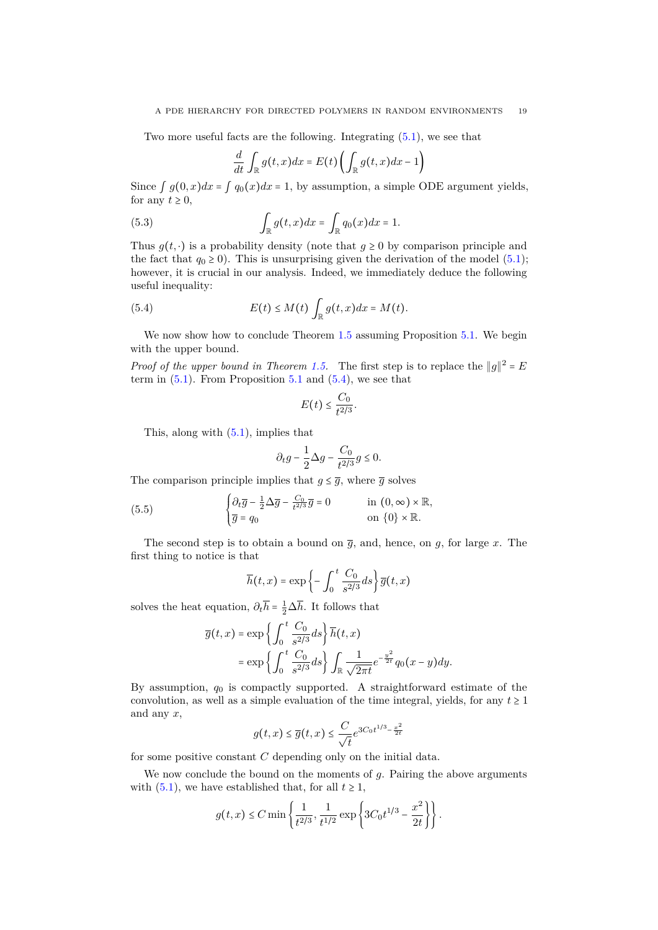Two more useful facts are the following. Integrating [\(5.1\)](#page-17-1), we see that

<span id="page-18-1"></span>
$$
\frac{d}{dt} \int_{\mathbb{R}} g(t,x) dx = E(t) \left( \int_{\mathbb{R}} g(t,x) dx - 1 \right)
$$

Since  $\int g(0, x)dx = \int q_0(x)dx = 1$ , by assumption, a simple ODE argument yields, for any  $t \geq 0$ ,

(5.3) 
$$
\int_{\mathbb{R}} g(t,x) dx = \int_{\mathbb{R}} q_0(x) dx = 1.
$$

Thus  $g(t, \cdot)$  is a probability density (note that  $g \ge 0$  by comparison principle and the fact that  $q_0 \ge 0$ ). This is unsurprising given the derivation of the model [\(5.1\)](#page-17-1); however, it is crucial in our analysis. Indeed, we immediately deduce the following useful inequality:

(5.4) 
$$
E(t) \leq M(t) \int_{\mathbb{R}} g(t,x) dx = M(t).
$$

We now show how to conclude Theorem [1.5](#page-4-5) assuming Proposition [5.1.](#page-17-2) We begin with the upper bound.

*Proof of the upper bound in Theorem [1.5.](#page-4-5)* The first step is to replace the  $||g||^2 = E$ term in  $(5.1)$ . From Proposition [5.1](#page-17-2) and  $(5.4)$ , we see that

<span id="page-18-0"></span>
$$
E(t) \leq \frac{C_0}{t^{2/3}}.
$$

This, along with [\(5.1\)](#page-17-1), implies that

$$
\partial_t g - \frac{1}{2} \Delta g - \frac{C_0}{t^{2/3}} g \le 0.
$$

The comparison principle implies that  $q \leq \overline{q}$ , where  $\overline{q}$  solves

(5.5) 
$$
\begin{cases} \partial_t \overline{g} - \frac{1}{2} \Delta \overline{g} - \frac{C_0}{t^{2/3}} \overline{g} = 0 & \text{in } (0, \infty) \times \mathbb{R}, \\ \overline{g} = q_0 & \text{on } \{0\} \times \mathbb{R}. \end{cases}
$$

The second step is to obtain a bound on  $\overline{g}$ , and, hence, on  $g$ , for large  $x$ . The first thing to notice is that

$$
\overline{h}(t,x) = \exp\left\{-\int_0^t \frac{C_0}{s^{2/3}} ds\right\} \overline{g}(t,x)
$$

solves the heat equation,  $\partial_t \overline{h} = \frac{1}{2} \Delta \overline{h}$ . It follows that

$$
\overline{g}(t,x) = \exp\left\{\int_0^t \frac{C_0}{s^{2/3}} ds\right\} \overline{h}(t,x)
$$

$$
= \exp\left\{\int_0^t \frac{C_0}{s^{2/3}} ds\right\} \int_{\mathbb{R}} \frac{1}{\sqrt{2\pi t}} e^{-\frac{y^2}{2t}} q_0(x-y) dy.
$$

By assumption, *q*<sup>0</sup> is compactly supported. A straightforward estimate of the convolution, as well as a simple evaluation of the time integral, yields, for any  $t \geq 1$ and any *x*,

$$
g(t,x) \le \overline{g}(t,x) \le \frac{C}{\sqrt{t}} e^{3C_0 t^{1/3} - \frac{x^2}{2t}}
$$

for some positive constant *C* depending only on the initial data.

We now conclude the bound on the moments of *g*. Pairing the above arguments with [\(5.1\)](#page-17-2), we have established that, for all  $t \ge 1$ ,

$$
g(t,x) \le C \min\left\{\frac{1}{t^{2/3}}, \frac{1}{t^{1/2}} \exp\left\{3C_0 t^{1/3} - \frac{x^2}{2t}\right\}\right\}.
$$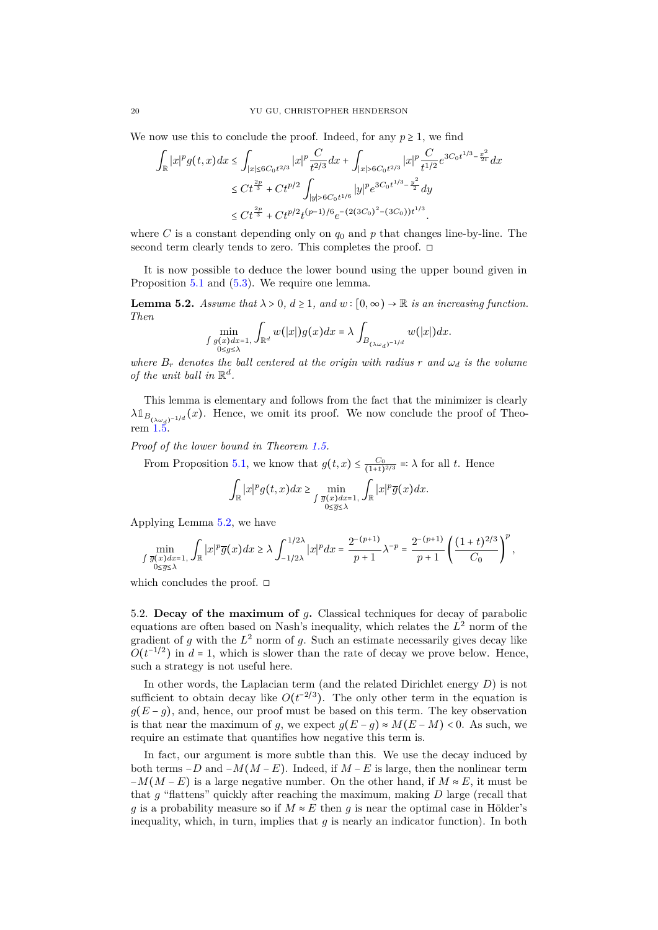We now use this to conclude the proof. Indeed, for any  $p \geq 1$ , we find

$$
\begin{split} \int_{\mathbb{R}}|x|^pg(t,x)dx &\leq \int_{|x|\leq 6C_0t^{2/3}}|x|^p\frac{C}{t^{2/3}}dx+\int_{|x|> 6C_0t^{2/3}}|x|^p\frac{C}{t^{1/2}}e^{3C_0t^{1/3}-\frac{x^2}{2t}}dx\\ &\leq Ct^{\frac{2p}{3}}+Ct^{p/2}\int_{|y|> 6C_0t^{1/6}}|y|^pe^{3C_0t^{1/3}-\frac{y^2}{2}}dy\\ &\leq Ct^{\frac{2p}{3}}+Ct^{p/2}t^{(p-1)/6}e^{-(2(3C_0)^2-(3C_0))t^{1/3}}. \end{split}
$$

where  $C$  is a constant depending only on  $q_0$  and  $p$  that changes line-by-line. The second term clearly tends to zero. This completes the proof. □

It is now possible to deduce the lower bound using the upper bound given in Proposition [5.1](#page-17-2) and [\(5.3\)](#page-18-1). We require one lemma.

<span id="page-19-1"></span>**Lemma 5.2.** *Assume that*  $\lambda > 0$ ,  $d \ge 1$ , and  $w : [0, \infty) \to \mathbb{R}$  *is an increasing function. Then*

$$
\min_{\substack{\int g(x)dx=1, \\ 0\le g\le\lambda}} \int_{\mathbb{R}^d} w(|x|)g(x)dx = \lambda \int_{B_{(\lambda\omega_d)^{-1/d}}} w(|x|)dx.
$$

*where*  $B_r$  *denotes the ball centered at the origin with radius r* and  $\omega_d$  *is the volume of the unit ball in*  $\mathbb{R}^d$ .

This lemma is elementary and follows from the fact that the minimizer is clearly  $\lambda \mathbb{1}_{B_{(\lambda \omega_d)^{-1/d}}}(x)$ . Hence, we omit its proof. We now conclude the proof of Theorem  $1.5$ .

*Proof of the lower bound in Theorem [1.5.](#page-4-5)*

From Proposition [5.1,](#page-17-2) we know that  $g(t,x) \leq \frac{C_0}{(1+t)^{2/3}} =: \lambda$  for all *t*. Hence

$$
\int_{\mathbb{R}} |x|^p g(t,x) dx \ge \min_{\substack{\int \overline{g}(x)dx=1, \\ 0 \le \overline{g} \le \lambda}} \int_{\mathbb{R}} |x|^p \overline{g}(x) dx.
$$

Applying Lemma [5.2,](#page-19-1) we have

$$
\min_{\int \overline{g}(x)dx=1,\atop 0\leq \overline{g}\leq \lambda}\int_{\mathbb{R}}|x|^p\overline{g}(x)dx\geq \lambda\int_{-1/2\lambda}^{1/2\lambda}|x|^pdx=\frac{2^{-(p+1)}}{p+1}\lambda^{-p}=\frac{2^{-(p+1)}}{p+1}\left(\frac{(1+t)^{2/3}}{C_0}\right)^p,
$$

which concludes the proof.  $\square$ 

<span id="page-19-0"></span>5.2. **Decay of the maximum of** *g***.** Classical techniques for decay of parabolic equations are often based on Nash's inequality, which relates the *L* <sup>2</sup> norm of the gradient of  $g$  with the  $L^2$  norm of  $g$ . Such an estimate necessarily gives decay like  $O(t^{-1/2})$  in  $d = 1$ , which is slower than the rate of decay we prove below. Hence, such a strategy is not useful here.

In other words, the Laplacian term (and the related Dirichlet energy *D*) is not sufficient to obtain decay like  $O(t^{-2/3})$ . The only other term in the equation is  $g(E-g)$ , and, hence, our proof must be based on this term. The key observation is that near the maximum of *g*, we expect  $g(E-g) \approx M(E-M) < 0$ . As such, we require an estimate that quantifies how negative this term is.

In fact, our argument is more subtle than this. We use the decay induced by both terms  $-D$  and  $-M(M - E)$ . Indeed, if  $M - E$  is large, then the nonlinear term  $-M(M - E)$  is a large negative number. On the other hand, if  $M \approx E$ , it must be that *g* "flattens" quickly after reaching the maximum, making *D* large (recall that *g* is a probability measure so if  $M \approx E$  then *g* is near the optimal case in Hölder's inequality, which, in turn, implies that *g* is nearly an indicator function). In both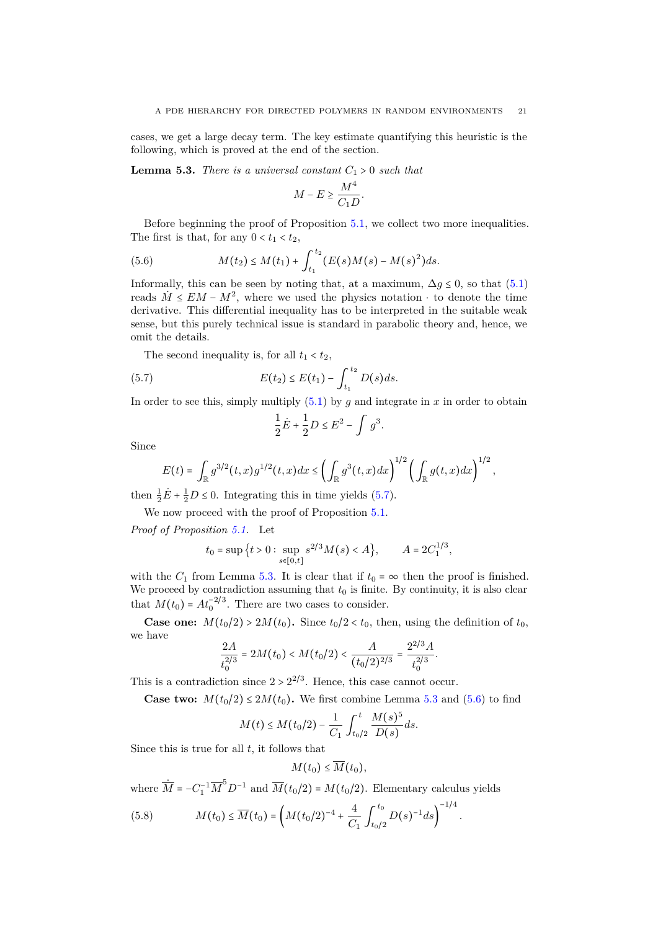cases, we get a large decay term. The key estimate quantifying this heuristic is the following, which is proved at the end of the section.

<span id="page-20-1"></span>**Lemma 5.3.** *There is a universal constant*  $C_1 > 0$  *such that* 

$$
M - E \ge \frac{M^4}{C_1 D}.
$$

Before beginning the proof of Proposition [5.1,](#page-17-2) we collect two more inequalities. The first is that, for any  $0 < t_1 < t_2$ ,

<span id="page-20-2"></span>(5.6) 
$$
M(t_2) \leq M(t_1) + \int_{t_1}^{t_2} (E(s)M(s) - M(s)^2) ds.
$$

Informally, this can be seen by noting that, at a maximum,  $\Delta g \leq 0$ , so that [\(5.1\)](#page-17-1) reads  $\dot{M} \leq EM - M^2$ , where we used the physics notation  $\cdot$  to denote the time derivative. This differential inequality has to be interpreted in the suitable weak sense, but this purely technical issue is standard in parabolic theory and, hence, we omit the details.

The second inequality is, for all  $t_1 < t_2$ ,

(5.7) 
$$
E(t_2) \le E(t_1) - \int_{t_1}^{t_2} D(s) ds.
$$

In order to see this, simply multiply  $(5.1)$  by *q* and integrate in *x* in order to obtain

<span id="page-20-0"></span>
$$
\frac{1}{2}\dot{E} + \frac{1}{2}D \le E^2 - \int g^3.
$$

Since

$$
E(t) = \int_{\mathbb{R}} g^{3/2}(t,x)g^{1/2}(t,x)dx \leq \left(\int_{\mathbb{R}} g^3(t,x)dx\right)^{1/2} \left(\int_{\mathbb{R}} g(t,x)dx\right)^{1/2},
$$

then  $\frac{1}{2}\dot{E} + \frac{1}{2}D \le 0$ . Integrating this in time yields [\(5.7\)](#page-20-0).

We now proceed with the proof of Proposition  $5.1$ .

*Proof of Proposition [5.1.](#page-17-2)* Let

$$
t_0 = \sup \{ t > 0 : \sup_{s \in [0,t]} s^{2/3} M(s) < A \}, \qquad A = 2C_1^{1/3},
$$

with the  $C_1$  from Lemma [5.3.](#page-20-1) It is clear that if  $t_0 = \infty$  then the proof is finished. We proceed by contradiction assuming that  $t_0$  is finite. By continuity, it is also clear that  $M(t_0) = At_0^{-2/3}$ . There are two cases to consider.

**Case one:**  $M(t_0/2) > 2M(t_0)$ **.** Since  $t_0/2 < t_0$ , then, using the definition of  $t_0$ , we have

$$
\frac{2A}{t_0^{2/3}} = 2M(t_0) < M(t_0/2) < \frac{A}{(t_0/2)^{2/3}} = \frac{2^{2/3}A}{t_0^{2/3}}.
$$

This is a contradiction since  $2 > 2^{2/3}$ . Hence, this case cannot occur.

**Case two:**  $M(t_0/2) \leq 2M(t_0)$ . We first combine Lemma [5.3](#page-20-1) and [\(5.6\)](#page-20-2) to find

$$
M(t) \le M(t_0/2) - \frac{1}{C_1} \int_{t_0/2}^t \frac{M(s)^5}{D(s)} ds.
$$

Since this is true for all *t*, it follows that

$$
M(t_0)\leq \overline{M}(t_0),
$$

*.*

where  $\dot{M}$  =  $-C_1^{-1} \overline{M}^5 D^{-1}$  and  $\overline{M}(t_0/2)$  =  $M(t_0/2)$ . Elementary calculus yields

<span id="page-20-3"></span>(5.8) 
$$
M(t_0) \leq \overline{M}(t_0) = \left(M(t_0/2)^{-4} + \frac{4}{C_1} \int_{t_0/2}^{t_0} D(s)^{-1} ds\right)^{-1/4}
$$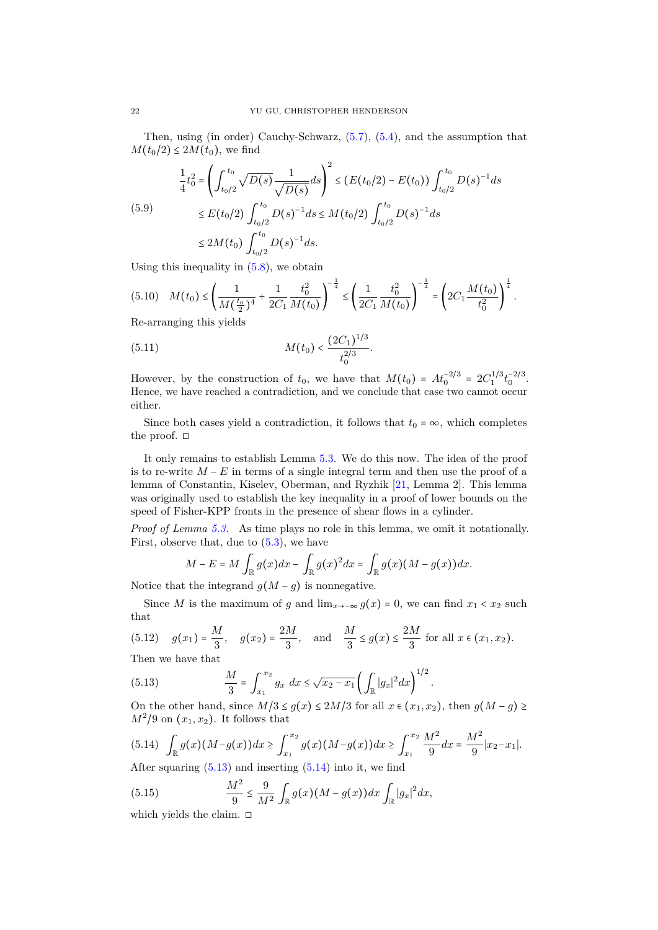<span id="page-21-2"></span>Then, using (in order) Cauchy-Schwarz, [\(5.7\)](#page-20-0), [\(5.4\)](#page-18-0), and the assumption that *M*(*t*<sub>0</sub>/2) ≤ 2*M*(*t*<sub>0</sub>), we find

$$
\frac{1}{4}t_0^2 = \left(\int_{t_0/2}^{t_0} \sqrt{D(s)} \frac{1}{\sqrt{D(s)}} ds\right)^2 \le (E(t_0/2) - E(t_0)) \int_{t_0/2}^{t_0} D(s)^{-1} ds
$$
\n
$$
\le E(t_0/2) \int_{t_0/2}^{t_0} D(s)^{-1} ds \le M(t_0/2) \int_{t_0/2}^{t_0} D(s)^{-1} ds
$$
\n
$$
\le 2M(t_0) \int_{t_0/2}^{t_0} D(s)^{-1} ds.
$$

Using this inequality in  $(5.8)$ , we obtain

$$
(5.10) \quad M(t_0) \le \left(\frac{1}{M(\frac{t_0}{2})^4} + \frac{1}{2C_1} \frac{t_0^2}{M(t_0)}\right)^{-\frac{1}{4}} \le \left(\frac{1}{2C_1} \frac{t_0^2}{M(t_0)}\right)^{-\frac{1}{4}} = \left(2C_1 \frac{M(t_0)}{t_0^2}\right)^{\frac{1}{4}}.
$$

Re-arranging this yields

(5.11) 
$$
M(t_0) < \frac{(2C_1)^{1/3}}{t_0^{2/3}}.
$$

However, by the construction of  $t_0$ , we have that  $M(t_0) = At_0^{-2/3} = 2C_1^{1/3}t_0^{-2/3}$ . Hence, we have reached a contradiction, and we conclude that case two cannot occur either.

Since both cases yield a contradiction, it follows that  $t_0 = \infty$ , which completes the proof.  $\square$ 

It only remains to establish Lemma [5.3.](#page-20-1) We do this now. The idea of the proof is to re-write  $M - E$  in terms of a single integral term and then use the proof of a lemma of Constantin, Kiselev, Oberman, and Ryzhik [\[21,](#page-26-24) Lemma 2]. This lemma was originally used to establish the key inequality in a proof of lower bounds on the speed of Fisher-KPP fronts in the presence of shear flows in a cylinder.

*Proof of Lemma [5.3.](#page-20-1)* As time plays no role in this lemma, we omit it notationally. First, observe that, due to  $(5.3)$ , we have

$$
M - E = M \int_{\mathbb{R}} g(x) dx - \int_{\mathbb{R}} g(x)^2 dx = \int_{\mathbb{R}} g(x) (M - g(x)) dx.
$$

Notice that the integrand  $g(M - g)$  is nonnegative.

Since *M* is the maximum of *g* and  $\lim_{x\to\infty} g(x) = 0$ , we can find  $x_1 < x_2$  such that

(5.12) 
$$
g(x_1) = \frac{M}{3}
$$
,  $g(x_2) = \frac{2M}{3}$ , and  $\frac{M}{3} \le g(x) \le \frac{2M}{3}$  for all  $x \in (x_1, x_2)$ .  
Then we have that

Then we have that

<span id="page-21-0"></span>(5.13) 
$$
\frac{M}{3} = \int_{x_1}^{x_2} g_x dx \le \sqrt{x_2 - x_1} \left( \int_{\mathbb{R}} |g_x|^2 dx \right)^{1/2}.
$$

On the other hand, since  $M/3 \le g(x) \le 2M/3$  for all  $x \in (x_1, x_2)$ , then  $g(M - g) \ge$  $M^2/9$  on  $(x_1, x_2)$ . It follows that

<span id="page-21-1"></span>
$$
(5.14) \quad \int_{\mathbb{R}} g(x) (M - g(x)) dx \ge \int_{x_1}^{x_2} g(x) (M - g(x)) dx \ge \int_{x_1}^{x_2} \frac{M^2}{9} dx = \frac{M^2}{9} |x_2 - x_1|.
$$

After squaring  $(5.13)$  and inserting  $(5.14)$  into it, we find

(5.15) 
$$
\frac{M^2}{9} \le \frac{9}{M^2} \int_{\mathbb{R}} g(x) (M - g(x)) dx \int_{\mathbb{R}} |g_x|^2 dx,
$$

which yields the claim. □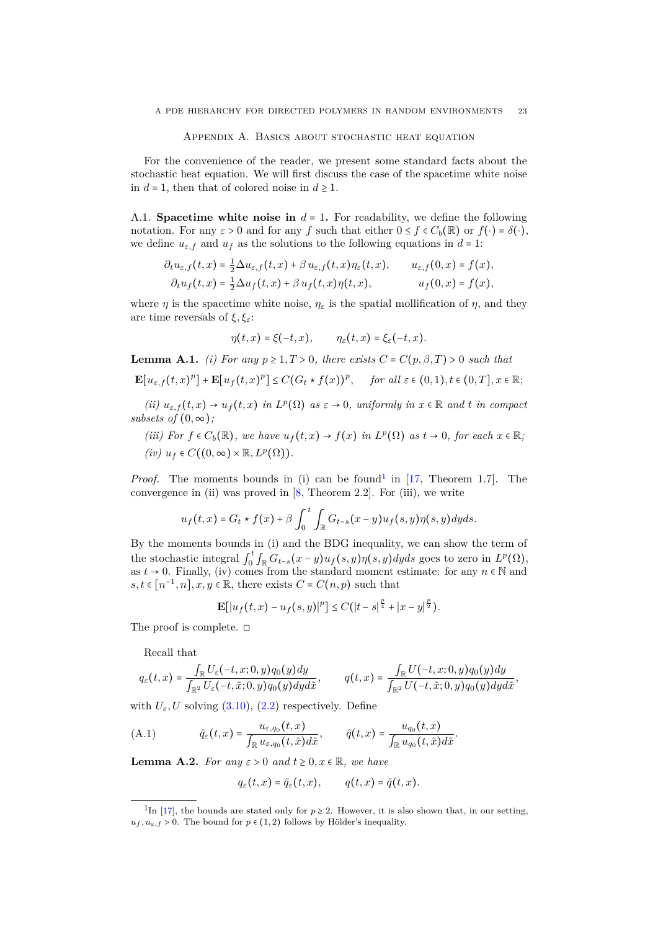#### APPENDIX A. BASICS ABOUT STOCHASTIC HEAT EQUATION

<span id="page-22-4"></span><span id="page-22-1"></span>For the convenience of the reader, we present some standard facts about the stochastic heat equation. We will first discuss the case of the spacetime white noise in  $d = 1$ , then that of colored noise in  $d \geq 1$ .

A.1. **Spacetime white noise in**  $d = 1$ . For readability, we define the following notation. For any  $\varepsilon > 0$  and for any *f* such that either  $0 \le f \in C_b(\mathbb{R})$  or  $f(\cdot) = \delta(\cdot)$ , we define  $u_{\varepsilon,f}$  and  $u_f$  as the solutions to the following equations in  $d = 1$ :

$$
\partial_t u_{\varepsilon,f}(t,x) = \frac{1}{2} \Delta u_{\varepsilon,f}(t,x) + \beta u_{\varepsilon,f}(t,x) \eta_{\varepsilon}(t,x), \qquad u_{\varepsilon,f}(0,x) = f(x),
$$
  

$$
\partial_t u_f(t,x) = \frac{1}{2} \Delta u_f(t,x) + \beta u_f(t,x) \eta(t,x), \qquad u_f(0,x) = f(x),
$$

where *η* is the spacetime white noise,  $\eta_{\varepsilon}$  is the spatial mollification of *η*, and they are time reversals of *ξ, ξε*:

$$
\eta(t,x)=\xi(-t,x),\qquad \eta_{\varepsilon}(t,x)=\xi_{\varepsilon}(-t,x).
$$

<span id="page-22-3"></span>**Lemma A.1.** *(i)* For any  $p \geq 1, T > 0$ , there exists  $C = C(p, \beta, T) > 0$  such that

$$
\mathbf{E}[u_{\varepsilon,f}(t,x)^p] + \mathbf{E}[u_f(t,x)^p] \le C(G_t \star f(x))^p, \quad \text{for all } \varepsilon \in (0,1), t \in (0,T], x \in \mathbb{R};
$$

 $(iii)$   $u_{\varepsilon,f}(t,x) \to u_f(t,x)$  *in*  $L^p(\Omega)$  *as*  $\varepsilon \to 0$ *, uniformly in*  $x \in \mathbb{R}$  *and t in compact subsets of*  $(0, \infty)$ *;* 

*(iii)* For  $f \in C_b(\mathbb{R})$ , we have  $u_f(t, x) \to f(x)$  *in*  $L^p(\Omega)$  *as*  $t \to 0$ *, for each*  $x \in \mathbb{R}$ *;*  $(iv)$   $u_f \in C((0, \infty) \times \mathbb{R}, L^p(\Omega)).$ 

*Proof.* The moments bounds in (i) can be found<sup>[1](#page-22-2)</sup> in [\[17,](#page-26-25) Theorem 1.7]. The convergence in (ii) was proved in  $[8,$  Theorem 2.2. For (iii), we write

$$
u_f(t,x) = G_t \star f(x) + \beta \int_0^t \int_{\mathbb{R}} G_{t-s}(x-y) u_f(s,y) \eta(s,y) dy ds.
$$

By the moments bounds in (i) and the BDG inequality, we can show the term of the stochastic integral  $\int_0^t \int_{\mathbb{R}} G_{t-s}(x-y) u_f(s,y) \eta(s,y) dy ds$  goes to zero in  $L^p(\Omega)$ , as  $t \to 0$ . Finally, (iv) comes from the standard moment estimate: for any  $n \in \mathbb{N}$  and  $s, t \in [n^{-1}, n], x, y \in \mathbb{R}$ , there exists  $C = C(n, p)$  such that

$$
\mathbf{E}[|u_f(t,x) - u_f(s,y)|^p] \le C(|t-s|^{\frac{p}{4}} + |x-y|^{\frac{p}{2}}).
$$

The proof is complete. □

Recall that

$$
q_{\varepsilon}(t,x)=\frac{\int_{\mathbb{R}}U_{\varepsilon}(-t,x;0,y)q_{0}(y)dy}{\int_{\mathbb{R}^{2}}U_{\varepsilon}(-t,\tilde{x};0,y)q_{0}(y)dyd\tilde{x}},\qquad q(t,x)=\frac{\int_{\mathbb{R}}U(-t,x;0,y)q_{0}(y)dy}{\int_{\mathbb{R}^{2}}U(-t,\tilde{x};0,y)q_{0}(y)dyd\tilde{x}},
$$

with  $U_{\varepsilon}$ , *U* solving [\(3.10\)](#page-11-2), [\(2.2\)](#page-8-2) respectively. Define

(A.1) 
$$
\tilde{q}_{\varepsilon}(t,x) = \frac{u_{\varepsilon,q_0}(t,x)}{\int_{\mathbb{R}} u_{\varepsilon,q_0}(t,\tilde{x})d\tilde{x}}, \qquad \tilde{q}(t,x) = \frac{u_{q_0}(t,x)}{\int_{\mathbb{R}} u_{q_0}(t,\tilde{x})d\tilde{x}}.
$$

<span id="page-22-0"></span>**Lemma A.2.** *For any*  $\varepsilon > 0$  *and*  $t \geq 0, x \in \mathbb{R}$ *, we have* 

$$
q_{\varepsilon}(t,x)=\tilde{q}_{\varepsilon}(t,x),\qquad q(t,x)=\tilde{q}(t,x).
$$

<span id="page-22-2"></span><sup>&</sup>lt;sup>1</sup>In [\[17\]](#page-26-25), the bounds are stated only for  $p \ge 2$ . However, it is also shown that, in our setting,  $u_f, u_{f} > 0$ . The bound for  $p \in (1, 2)$  follows by Hölder's inequality.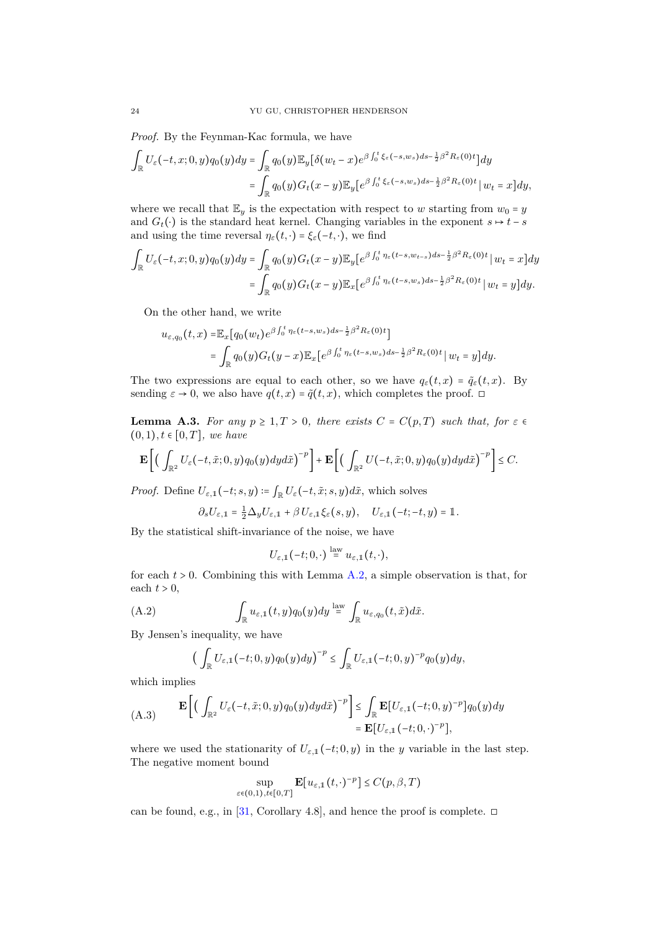<span id="page-23-3"></span>*Proof.* By the Feynman-Kac formula, we have

$$
\int_{\mathbb{R}} U_{\varepsilon}(-t,x;0,y)q_0(y)dy = \int_{\mathbb{R}} q_0(y)\mathbb{E}_y[\delta(w_t-x)e^{\beta\int_0^t \xi_{\varepsilon}(-s,w_s)ds - \frac{1}{2}\beta^2 R_{\varepsilon}(0)t}]dy
$$
  

$$
= \int_{\mathbb{R}} q_0(y)G_t(x-y)\mathbb{E}_y[e^{\beta\int_0^t \xi_{\varepsilon}(-s,w_s)ds - \frac{1}{2}\beta^2 R_{\varepsilon}(0)t}]w_t = x]dy,
$$

where we recall that  $\mathbb{E}_y$  is the expectation with respect to *w* starting from  $w_0 = y$ and  $G_t(\cdot)$  is the standard heat kernel. Changing variables in the exponent  $s \mapsto t - s$ and using the time reversal  $\eta_{\varepsilon}(t, \cdot) = \xi_{\varepsilon}(-t, \cdot)$ , we find

$$
\int_{\mathbb{R}} U_{\varepsilon}(-t, x; 0, y) q_{0}(y) dy = \int_{\mathbb{R}} q_{0}(y) G_{t}(x - y) \mathbb{E}_{y} [e^{\beta \int_{0}^{t} \eta_{\varepsilon}(t - s, w_{t - s}) ds - \frac{1}{2} \beta^{2} R_{\varepsilon}(0) t} | w_{t} = x] dy
$$
  

$$
= \int_{\mathbb{R}} q_{0}(y) G_{t}(x - y) \mathbb{E}_{x} [e^{\beta \int_{0}^{t} \eta_{\varepsilon}(t - s, w_{s}) ds - \frac{1}{2} \beta^{2} R_{\varepsilon}(0) t} | w_{t} = y] dy.
$$

On the other hand, we write

$$
u_{\varepsilon,q_0}(t,x) = \mathbb{E}_x[q_0(w_t)e^{\beta \int_0^t \eta_{\varepsilon}(t-s,w_s)ds - \frac{1}{2}\beta^2 R_{\varepsilon}(0)t}]
$$
  
= 
$$
\int_{\mathbb{R}} q_0(y)G_t(y-x)\mathbb{E}_x[e^{\beta \int_0^t \eta_{\varepsilon}(t-s,w_s)ds - \frac{1}{2}\beta^2 R_{\varepsilon}(0)t} | w_t = y]dy.
$$

The two expressions are equal to each other, so we have  $q_{\varepsilon}(t,x) = \tilde{q}_{\varepsilon}(t,x)$ . By sending  $\varepsilon \to 0$ , we also have  $q(t, x) = \tilde{q}(t, x)$ , which completes the proof. <del></del>

<span id="page-23-0"></span>**Lemma A.3.** *For any*  $p \geq 1, T > 0$ , *there exists*  $C = C(p,T)$  *such that, for*  $\varepsilon \in$ (0*,* 1)*, t* ∈ [0*, T*]*, we have*

$$
\mathbf{E}\bigg[\Big(\int_{\mathbb{R}^2}U_{\varepsilon}\big(-t,\tilde{x};0,y\big)q_0\big(y\big)dyd\tilde{x}\Big)^{-p}\bigg]+\mathbf{E}\bigg[\Big(\int_{\mathbb{R}^2}U\big(-t,\tilde{x};0,y\big)q_0\big(y\big)dyd\tilde{x}\Big)^{-p}\bigg]\leq C.
$$

*Proof.* Define  $U_{\varepsilon,1}(-t; s, y) \coloneqq \int_{\mathbb{R}} U_{\varepsilon}(-t, \tilde{x}; s, y) d\tilde{x}$ , which solves

$$
\partial_s U_{\varepsilon,1} = \frac{1}{2} \Delta_y U_{\varepsilon,1} + \beta U_{\varepsilon,1} \xi_{\varepsilon}(s,y), \quad U_{\varepsilon,1}(-t;-t,y) = \mathbb{1}.
$$

By the statistical shift-invariance of the noise, we have

$$
U_{\varepsilon,1}(-t;0,\cdot)\stackrel{\text{law}}{=} u_{\varepsilon,1}(t,\cdot),
$$

for each  $t > 0$ . Combining this with Lemma [A.2,](#page-22-0) a simple observation is that, for each  $t > 0$ ,

(A.2) 
$$
\int_{\mathbb{R}} u_{\varepsilon,1}(t,y) q_0(y) dy \stackrel{\text{law}}{=} \int_{\mathbb{R}} u_{\varepsilon,q_0}(t,\tilde{x}) d\tilde{x}.
$$

By Jensen's inequality, we have

<span id="page-23-1"></span>
$$
\left(\int_{\mathbb{R}}U_{\varepsilon,1}(-t;0,y)q_0(y)dy\right)^{-p}\leq \int_{\mathbb{R}}U_{\varepsilon,1}(-t;0,y)^{-p}q_0(y)dy,
$$

which implies

<span id="page-23-2"></span>(A.3) 
$$
\mathbf{E}\left[\left(\int_{\mathbb{R}^2} U_{\varepsilon}(-t,\tilde{x};0,y)q_0(y)dyd\tilde{x}\right)^{-p}\right] \leq \int_{\mathbb{R}} \mathbf{E}[U_{\varepsilon,1}(-t;0,y)^{-p}]q_0(y)dy\\ = \mathbf{E}[U_{\varepsilon,1}(-t;0,\cdot)^{-p}],
$$

where we used the stationarity of  $U_{\varepsilon,1}(-t; 0, y)$  in the *y* variable in the last step. The negative moment bound

$$
\sup_{\varepsilon \in (0,1), t \in [0,T]} \mathbf{E}[u_{\varepsilon,1}(t,\cdot)^{-p}] \le C(p,\beta,T)
$$

can be found, e.g., in [\[31,](#page-27-16) Corollary 4.8], and hence the proof is complete.  $\Box$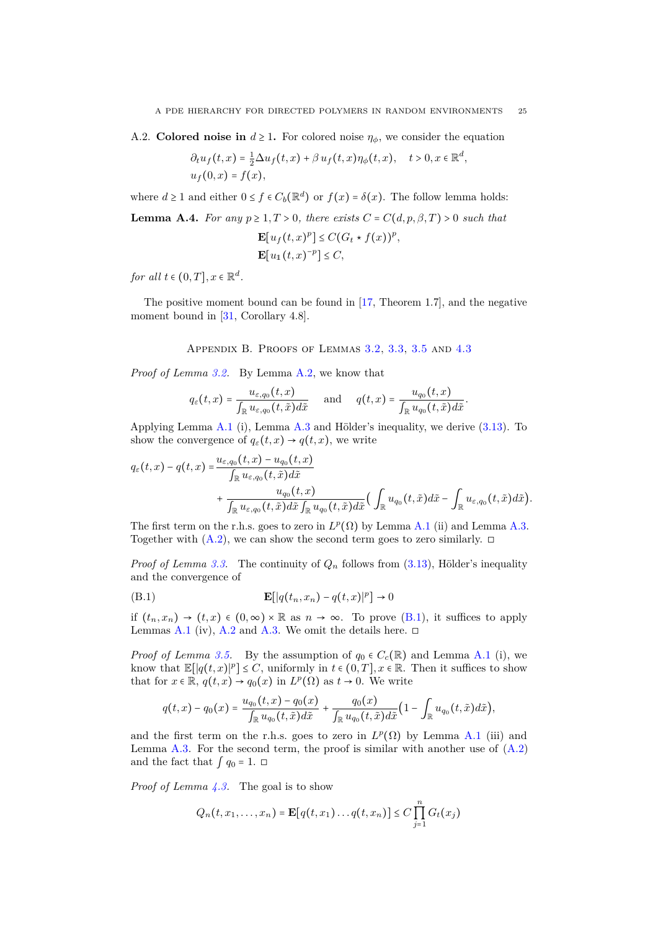<span id="page-24-2"></span>A.2. **Colored noise in**  $d \geq 1$ . For colored noise  $\eta_{\phi}$ , we consider the equation

$$
\partial_t u_f(t,x) = \frac{1}{2} \Delta u_f(t,x) + \beta u_f(t,x) \eta_\phi(t,x), \quad t > 0, x \in \mathbb{R}^d,
$$
  

$$
u_f(0,x) = f(x),
$$

where  $d \ge 1$  and either  $0 \le f \in C_b(\mathbb{R}^d)$  or  $f(x) = \delta(x)$ . The follow lemma holds:

**Lemma A.4.** *For any*  $p \geq 1, T > 0$ *, there exists*  $C = C(d, p, \beta, T) > 0$  *such that* 

$$
\mathbf{E}[u_f(t,x)^p] \le C(G_t * f(x))^p,
$$
  

$$
\mathbf{E}[u_1(t,x)^{-p}] \le C,
$$

*for all*  $t \in (0, T], x \in \mathbb{R}^d$ .

The positive moment bound can be found in [\[17,](#page-26-25) Theorem 1.7], and the negative moment bound in [\[31,](#page-27-16) Corollary 4.8].

Appendix B. Proofs of Lemmas [3.2,](#page-12-0) [3.3,](#page-12-1) [3.5](#page-13-0) and [4.3](#page-15-0)

<span id="page-24-0"></span>*Proof of Lemma [3.2.](#page-12-0)* By Lemma [A.2,](#page-22-0) we know that

$$
q_{\varepsilon}(t,x)=\frac{u_{\varepsilon,q_0}(t,x)}{\int_{\mathbb{R}} u_{\varepsilon,q_0}(t,\tilde{x})d\tilde{x}}\quad \text{ and }\quad q(t,x)=\frac{u_{q_0}(t,x)}{\int_{\mathbb{R}} u_{q_0}(t,\tilde{x})d\tilde{x}}.
$$

Applying Lemma [A.1](#page-22-3) (i), Lemma [A.3](#page-23-0) and Hölder's inequality, we derive [\(3.13\)](#page-12-3). To show the convergence of  $q_{\varepsilon}(t, x) \rightarrow q(t, x)$ , we write

$$
q_{\varepsilon}(t,x) - q(t,x) = \frac{u_{\varepsilon,q_0}(t,x) - u_{q_0}(t,x)}{\int_{\mathbb{R}} u_{\varepsilon,q_0}(t,\tilde{x})d\tilde{x}} + \frac{u_{q_0}(t,x)}{\int_{\mathbb{R}} u_{\varepsilon,q_0}(t,\tilde{x})d\tilde{x}\int_{\mathbb{R}} u_{q_0}(t,\tilde{x})d\tilde{x}}\Big(\int_{\mathbb{R}} u_{q_0}(t,\tilde{x})d\tilde{x} - \int_{\mathbb{R}} u_{\varepsilon,q_0}(t,\tilde{x})d\tilde{x}\Big).
$$

The first term on the r.h.s. goes to zero in  $L^p(\Omega)$  by Lemma [A.1](#page-22-3) (ii) and Lemma [A.3.](#page-23-0) Together with  $(A.2)$ , we can show the second term goes to zero similarly.  $\Box$ 

*Proof of Lemma [3.3.](#page-12-1)* The continuity of  $Q_n$  follows from [\(3.13\)](#page-12-3), Hölder's inequality and the convergence of

<span id="page-24-1"></span>(B.1) 
$$
\mathbf{E}[|q(t_n, x_n) - q(t, x)|^p] \to 0
$$

if  $(t_n, x_n) \to (t, x) \in (0, \infty) \times \mathbb{R}$  as  $n \to \infty$ . To prove  $(B.1)$ , it suffices to apply Lemmas [A.1](#page-22-3) (iv), [A.2](#page-22-0) and [A.3.](#page-23-0) We omit the details here.  $\Box$ 

*Proof of Lemma [3.5.](#page-13-0)* By the assumption of  $q_0 \in C_c(\mathbb{R})$  and Lemma [A.1](#page-22-3) (i), we know that  $\mathbb{E}[q(t,x)|^p] \leq C$ , uniformly in  $t \in (0,T], x \in \mathbb{R}$ . Then it suffices to show that for  $x \in \mathbb{R}$ ,  $q(t, x) \to q_0(x)$  in  $L^p(\Omega)$  as  $t \to 0$ . We write

$$
q(t,x) - q_0(x) = \frac{u_{q_0}(t,x) - q_0(x)}{\int_{\mathbb{R}} u_{q_0}(t,\tilde{x}) d\tilde{x}} + \frac{q_0(x)}{\int_{\mathbb{R}} u_{q_0}(t,\tilde{x}) d\tilde{x}} \Big(1 - \int_{\mathbb{R}} u_{q_0}(t,\tilde{x}) d\tilde{x}\Big),
$$

and the first term on the r.h.s. goes to zero in  $L^p(\Omega)$  by Lemma [A.1](#page-22-3) (iii) and Lemma [A.3.](#page-23-0) For the second term, the proof is similar with another use of  $(A.2)$ and the fact that  $\int q_0 = 1$ . □

*Proof of Lemma [4.3.](#page-15-0)* The goal is to show

$$
Q_n(t,x_1,\ldots,x_n) = \mathbf{E}[q(t,x_1)\ldots q(t,x_n)] \leq C \prod_{j=1}^n G_t(x_j)
$$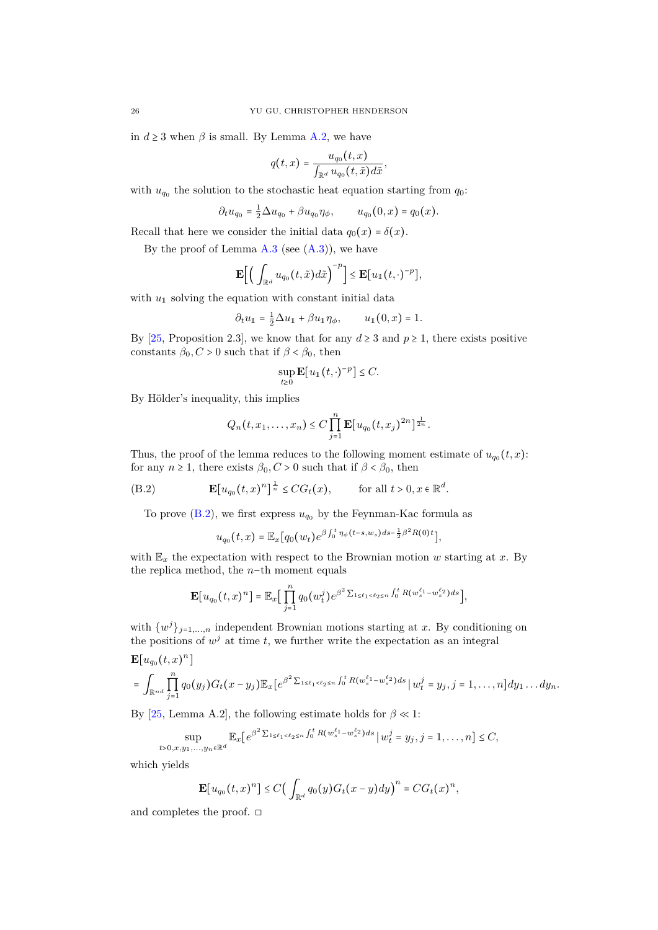<span id="page-25-1"></span>in  $d \geq 3$  when  $\beta$  is small. By Lemma [A.2,](#page-22-0) we have

$$
q(t,x) = \frac{u_{q_0}(t,x)}{\int_{\mathbb{R}^d} u_{q_0}(t,\tilde{x})d\tilde{x}}
$$

*,*

with  $u_{q_0}$  the solution to the stochastic heat equation starting from  $q_0$ :

$$
\partial_t u_{q_0} = \frac{1}{2} \Delta u_{q_0} + \beta u_{q_0} \eta_{\phi}, \qquad u_{q_0}(0, x) = q_0(x).
$$

Recall that here we consider the initial data  $q_0(x) = \delta(x)$ .

By the proof of Lemma  $A.3$  (see  $(A.3)$ ), we have

$$
\mathbf{E}\Big[\Big(\int_{\mathbb{R}^d}u_{q_0}\big(t,\tilde{x}\big)d\tilde{x}\Big)^{-p}\Big]\leq \mathbf{E}\big[u_1\big(t,\cdot\big)^{-p}\big],
$$

with  $u_1$  solving the equation with constant initial data

$$
\partial_t u_1 = \frac{1}{2} \Delta u_1 + \beta u_1 \eta_\phi, \qquad u_1(0, x) = 1.
$$

By [\[25,](#page-26-26) Proposition 2.3], we know that for any  $d \geq 3$  and  $p \geq 1$ , there exists positive constants  $\beta_0$ ,  $C > 0$  such that if  $\beta < \beta_0$ , then

$$
\sup_{t\geq 0} \mathbf{E}[u_1(t,\cdot)^{-p}] \leq C.
$$

By Hölder's inequality, this implies

$$
Q_n(t, x_1,...,x_n) \leq C \prod_{j=1}^n \mathbf{E}[u_{q_0}(t, x_j)^{2n}]^{\frac{1}{2n}}.
$$

Thus, the proof of the lemma reduces to the following moment estimate of  $u_{q0}(t, x)$ : for any  $n \ge 1$ , there exists  $\beta_0$ ,  $C > 0$  such that if  $\beta < \beta_0$ , then

(B.2) 
$$
\mathbf{E}[u_{q_0}(t,x)^n]^{\frac{1}{n}} \le CG_t(x), \quad \text{for all } t > 0, x \in \mathbb{R}^d.
$$

To prove  $(B.2)$ , we first express  $u_{q_0}$  by the Feynman-Kac formula as

<span id="page-25-0"></span>
$$
u_{q_0}(t,x) = \mathbb{E}_x[q_0(w_t)e^{\beta \int_0^t \eta_{\phi}(t-s,w_s)ds - \frac{1}{2}\beta^2 R(0)t}],
$$

with  $\mathbb{E}_x$  the expectation with respect to the Brownian motion *w* starting at *x*. By the replica method, the *n*−th moment equals

$$
\mathbf{E}[u_{q_0}(t,x)^n] = \mathbb{E}_x \Big[ \prod_{j=1}^n q_0(w_t^j) e^{\beta^2 \sum_{1 \le \ell_1 < \ell_2 \le n} \int_0^t R(w_s^{\ell_1} - w_s^{\ell_2}) ds} \Big],
$$

with  $\{w^j\}_{j=1,\dots,n}$  independent Brownian motions starting at *x*. By conditioning on the positions of  $w^j$  at time *t*, we further write the expectation as an integral

$$
\mathbf{E}[u_{q_0}(t,x)^n]
$$
\n
$$
= \int_{\mathbb{R}^{nd}} \prod_{j=1}^n q_0(y_j) G_t(x-y_j) \mathbb{E}_x[e^{\beta^2 \sum_{1 \le \ell_1 < \ell_2 \le n} \int_0^t R(w_s^{\ell_1} - w_s^{\ell_2}) ds} | w_t^j = y_j, j = 1, \dots, n] dy_1 \dots dy_n.
$$

By [\[25,](#page-26-26) Lemma A.2], the following estimate holds for  $\beta \ll 1$ :

$$
\sup_{t>0,x,y_1,...,y_n\in\mathbb{R}^d} \mathbb{E}_x[e^{\beta^2 \sum_{1\leq \ell_1 < \ell_2 \leq n} \int_0^t R(w^{\ell_1}_s - w^{\ell_2}_s) ds} | w_t^j = y_j, j = 1,...,n] \leq C,
$$

which yields

$$
\mathbf{E}[u_{q_0}(t,x)^n] \leq C \big(\int_{\mathbb{R}^d} q_0(y)G_t(x-y)dy\big)^n = CG_t(x)^n,
$$

and completes the proof.  $\square$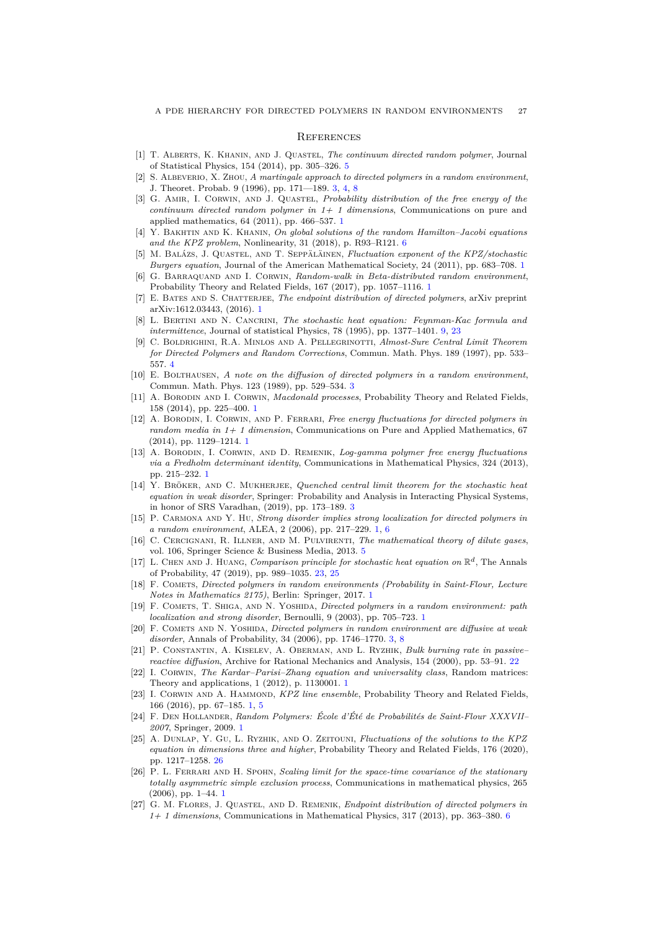#### **REFERENCES**

- <span id="page-26-19"></span>[1] T. Alberts, K. Khanin, and J. Quastel, *The continuum directed random polymer*, Journal of Statistical Physics, 154 (2014), pp. 305–326. [5](#page-4-6)
- <span id="page-26-14"></span>[2] S. Albeverio, X. Zhou, *A martingale approach to directed polymers in a random environment*, J. Theoret. Probab. 9 (1996), pp. 171—189. [3,](#page-2-7) [4,](#page-3-6) [8](#page-7-3)
- <span id="page-26-2"></span>[3] G. Amir, I. Corwin, and J. Quastel, *Probability distribution of the free energy of the continuum directed random polymer in 1+ 1 dimensions*, Communications on pure and applied mathematics, 64 (2011), pp. 466–537. [1](#page-0-0)
- <span id="page-26-21"></span>[4] Y. Bakhtin and K. Khanin, *On global solutions of the random Hamilton–Jacobi equations and the KPZ problem*, Nonlinearity, 31 (2018), p. R93–R121. [6](#page-5-2)
- <span id="page-26-3"></span>[5] M. Balázs, J. Quastel, and T. Seppäläinen, *Fluctuation exponent of the KPZ/stochastic Burgers equation*, Journal of the American Mathematical Society, 24 (2011), pp. 683–708. [1](#page-0-0)
- <span id="page-26-4"></span>[6] G. Barraquand and I. Corwin, *Random-walk in Beta-distributed random environment*, Probability Theory and Related Fields, 167 (2017), pp. 1057–1116. [1](#page-0-0)
- <span id="page-26-11"></span>[7] E. Bates and S. Chatterjee, *The endpoint distribution of directed polymers*, arXiv preprint arXiv:1612.03443, (2016). [1](#page-0-0)
- <span id="page-26-23"></span>[8] L. Bertini and N. Cancrini, *The stochastic heat equation: Feynman-Kac formula and intermittence*, Journal of statistical Physics, 78 (1995), pp. 1377–1401. [9,](#page-8-3) [23](#page-22-4)
- <span id="page-26-18"></span>[9] C. Boldrighini, R.A. Minlos and A. Pellegrinotti, *Almost-Sure Central Limit Theorem for Directed Polymers and Random Corrections*, Commun. Math. Phys. 189 (1997), pp. 533– 557. [4](#page-3-6)
- <span id="page-26-15"></span>[10] E. Bolthausen, *A note on the diffusion of directed polymers in a random environment*, Commun. Math. Phys. 123 (1989), pp. 529–534. [3](#page-2-7)
- <span id="page-26-5"></span>[11] A. Borodin and I. Corwin, *Macdonald processes*, Probability Theory and Related Fields, 158 (2014), pp. 225–400. [1](#page-0-0)
- <span id="page-26-6"></span>[12] A. Borodin, I. Corwin, and P. Ferrari, *Free energy fluctuations for directed polymers in random media in 1+ 1 dimension*, Communications on Pure and Applied Mathematics, 67 (2014), pp. 1129–1214. [1](#page-0-0)
- <span id="page-26-7"></span>[13] A. Borodin, I. Corwin, and D. Remenik, *Log-gamma polymer free energy fluctuations via a Fredholm determinant identity*, Communications in Mathematical Physics, 324 (2013), pp. 215–232. [1](#page-0-0)
- <span id="page-26-17"></span>[14] Y. Bröker, and C. Mukherjee, *Quenched central limit theorem for the stochastic heat equation in weak disorder*, Springer: Probability and Analysis in Interacting Physical Systems, in honor of SRS Varadhan, (2019), pp. 173–189. [3](#page-2-7)
- <span id="page-26-12"></span>[15] P. Carmona and Y. Hu, *Strong disorder implies strong localization for directed polymers in a random environment*, ALEA, 2 (2006), pp. 217–229. [1,](#page-0-0) [6](#page-5-2)
- <span id="page-26-20"></span>[16] C. Cercignani, R. Illner, and M. Pulvirenti, *The mathematical theory of dilute gases*, vol. 106, Springer Science & Business Media, 2013. [5](#page-4-6)
- <span id="page-26-25"></span>[17] L. CHEN AND J. HUANG, *Comparison principle for stochastic heat equation on*  $\mathbb{R}^d$ , The Annals of Probability, 47 (2019), pp. 989–1035. [23,](#page-22-4) [25](#page-24-2)
- <span id="page-26-0"></span>[18] F. COMETS, *Directed polymers in random environments (Probability in Saint-Flour, Lecture Notes in Mathematics 2175)*, Berlin: Springer, 2017. [1](#page-0-0)
- <span id="page-26-13"></span>[19] F. Comets, T. Shiga, and N. Yoshida, *Directed polymers in a random environment: path localization and strong disorder*, Bernoulli, 9 (2003), pp. 705–723. [1](#page-0-0)
- <span id="page-26-16"></span>[20] F. COMETS AND N. YOSHIDA, *Directed polymers in random environment are diffusive at weak disorder*, Annals of Probability, 34 (2006), pp. 1746–1770. [3,](#page-2-7) [8](#page-7-3)
- <span id="page-26-24"></span>[21] P. Constantin, A. Kiselev, A. Oberman, and L. Ryzhik, *Bulk burning rate in passive– reactive diffusion*, Archive for Rational Mechanics and Analysis, 154 (2000), pp. 53–91. [22](#page-21-2)
- <span id="page-26-10"></span>[22] I. CORWIN, *The Kardar-Parisi-Zhang equation and universality class*, Random matrices: Theory and applications, 1 (2012), p. 1130001. [1](#page-0-0)
- <span id="page-26-8"></span>[23] I. CORWIN AND A. HAMMOND, *KPZ line ensemble*, Probability Theory and Related Fields, 166 (2016), pp. 67–185. [1,](#page-0-0) [5](#page-4-6)
- <span id="page-26-1"></span>[24] F. Den Hollander, *Random Polymers: École d'Été de Probabilités de Saint-Flour XXXVII– 2007*, Springer, 2009. [1](#page-0-0)
- <span id="page-26-26"></span>[25] A. Dunlap, Y. Gu, L. Ryzhik, and O. Zeitouni, *Fluctuations of the solutions to the KPZ equation in dimensions three and higher*, Probability Theory and Related Fields, 176 (2020), pp. 1217–1258. [26](#page-25-1)
- <span id="page-26-9"></span>[26] P. L. Ferrari and H. Spohn, *Scaling limit for the space-time covariance of the stationary totally asymmetric simple exclusion process*, Communications in mathematical physics, 265 (2006), pp. 1–44. [1](#page-0-0)
- <span id="page-26-22"></span>[27] G. M. Flores, J. Quastel, and D. Remenik, *Endpoint distribution of directed polymers in 1+ 1 dimensions*, Communications in Mathematical Physics, 317 (2013), pp. 363–380. [6](#page-5-2)